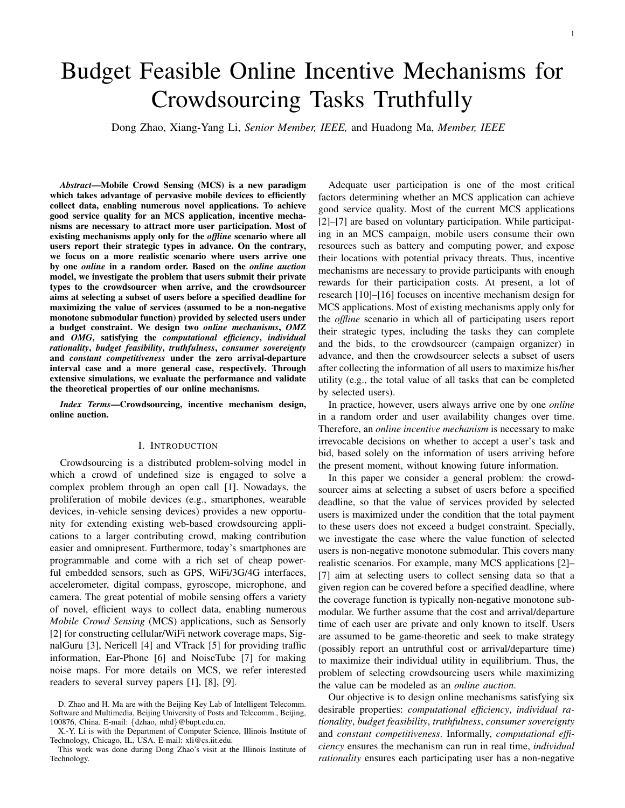# Budget Feasible Online Incentive Mechanisms for Crowdsourcing Tasks Truthfully

Dong Zhao, Xiang-Yang Li, *Senior Member, IEEE,* and Huadong Ma, *Member, IEEE*

*Abstract*—Mobile Crowd Sensing (MCS) is a new paradigm which takes advantage of pervasive mobile devices to efficiently collect data, enabling numerous novel applications. To achieve good service quality for an MCS application, incentive mechanisms are necessary to attract more user participation. Most of existing mechanisms apply only for the *offline* scenario where all users report their strategic types in advance. On the contrary, we focus on a more realistic scenario where users arrive one by one *online* in a random order. Based on the *online auction* model, we investigate the problem that users submit their private types to the crowdsourcer when arrive, and the crowdsourcer aims at selecting a subset of users before a specified deadline for maximizing the value of services (assumed to be a non-negative monotone submodular function) provided by selected users under a budget constraint. We design two *online mechanisms*, *OMZ* and *OMG*, satisfying the *computational efficiency*, *individual rationality*, *budget feasibility*, *truthfulness*, *consumer sovereignty* and *constant competitiveness* under the zero arrival-departure interval case and a more general case, respectively. Through extensive simulations, we evaluate the performance and validate the theoretical properties of our online mechanisms.

*Index Terms*—Crowdsourcing, incentive mechanism design, online auction.

#### I. INTRODUCTION

Crowdsourcing is a distributed problem-solving model in which a crowd of undefined size is engaged to solve a complex problem through an open call [1]. Nowadays, the proliferation of mobile devices (e.g., smartphones, wearable devices, in-vehicle sensing devices) provides a new opportunity for extending existing web-based crowdsourcing applications to a larger contributing crowd, making contribution easier and omnipresent. Furthermore, today's smartphones are programmable and come with a rich set of cheap powerful embedded sensors, such as GPS, WiFi/3G/4G interfaces, accelerometer, digital compass, gyroscope, microphone, and camera. The great potential of mobile sensing offers a variety of novel, efficient ways to collect data, enabling numerous *Mobile Crowd Sensing* (MCS) applications, such as Sensorly [2] for constructing cellular/WiFi network coverage maps, SignalGuru [3], Nericell [4] and VTrack [5] for providing traffic information, Ear-Phone [6] and NoiseTube [7] for making noise maps. For more details on MCS, we refer interested readers to several survey papers [1], [8], [9].

Adequate user participation is one of the most critical factors determining whether an MCS application can achieve good service quality. Most of the current MCS applications [2]–[7] are based on voluntary participation. While participating in an MCS campaign, mobile users consume their own resources such as battery and computing power, and expose their locations with potential privacy threats. Thus, incentive mechanisms are necessary to provide participants with enough rewards for their participation costs. At present, a lot of research [10]–[16] focuses on incentive mechanism design for MCS applications. Most of existing mechanisms apply only for the *offline* scenario in which all of participating users report their strategic types, including the tasks they can complete and the bids, to the crowdsourcer (campaign organizer) in advance, and then the crowdsourcer selects a subset of users after collecting the information of all users to maximize his/her utility (e.g., the total value of all tasks that can be completed by selected users).

In practice, however, users always arrive one by one *online* in a random order and user availability changes over time. Therefore, an *online incentive mechanism* is necessary to make irrevocable decisions on whether to accept a user's task and bid, based solely on the information of users arriving before the present moment, without knowing future information.

In this paper we consider a general problem: the crowdsourcer aims at selecting a subset of users before a specified deadline, so that the value of services provided by selected users is maximized under the condition that the total payment to these users does not exceed a budget constraint. Specially, we investigate the case where the value function of selected users is non-negative monotone submodular. This covers many realistic scenarios. For example, many MCS applications [2]– [7] aim at selecting users to collect sensing data so that a given region can be covered before a specified deadline, where the coverage function is typically non-negative monotone submodular. We further assume that the cost and arrival/departure time of each user are private and only known to itself. Users are assumed to be game-theoretic and seek to make strategy (possibly report an untruthful cost or arrival/departure time) to maximize their individual utility in equilibrium. Thus, the problem of selecting crowdsourcing users while maximizing the value can be modeled as an *online auction*.

Our objective is to design online mechanisms satisfying six desirable properties: *computational efficiency*, *individual rationality*, *budget feasibility*, *truthfulness*, *consumer sovereignty* and *constant competitiveness*. Informally, *computational efficiency* ensures the mechanism can run in real time, *individual rationality* ensures each participating user has a non-negative

D. Zhao and H. Ma are with the Beijing Key Lab of Intelligent Telecomm. Software and Multimedia, Beijing University of Posts and Telecomm., Beijing, 100876, China. E-mail: *{*dzhao, mhd*}*@bupt.edu.cn.

X.-Y. Li is with the Department of Computer Science, Illinois Institute of Technology, Chicago, IL, USA. E-mail: xli@cs.iit.edu.

This work was done during Dong Zhao's visit at the Illinois Institute of Technology.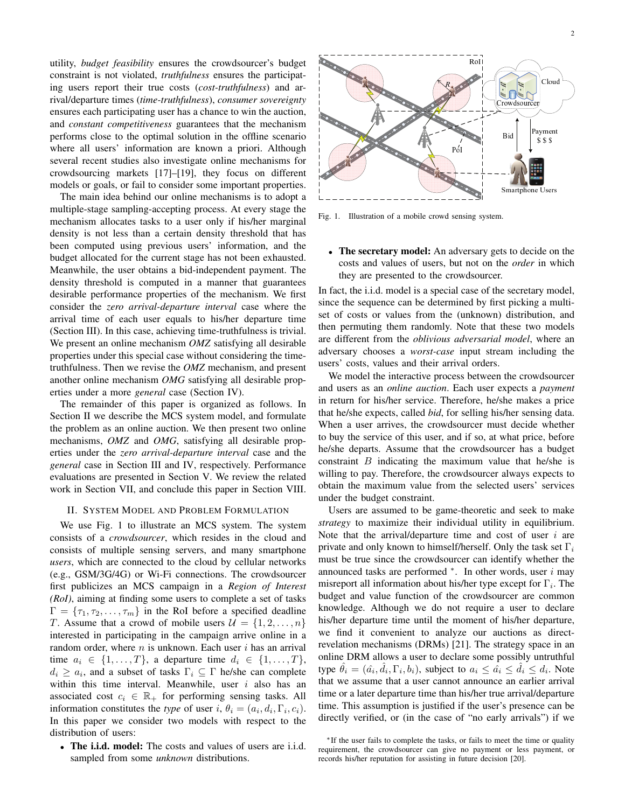utility, *budget feasibility* ensures the crowdsourcer's budget constraint is not violated, *truthfulness* ensures the participating users report their true costs (*cost-truthfulness*) and arrival/departure times (*time-truthfulness*), *consumer sovereignty* ensures each participating user has a chance to win the auction, and *constant competitiveness* guarantees that the mechanism performs close to the optimal solution in the offline scenario where all users' information are known a priori. Although several recent studies also investigate online mechanisms for crowdsourcing markets [17]–[19], they focus on different models or goals, or fail to consider some important properties.

The main idea behind our online mechanisms is to adopt a multiple-stage sampling-accepting process. At every stage the mechanism allocates tasks to a user only if his/her marginal density is not less than a certain density threshold that has been computed using previous users' information, and the budget allocated for the current stage has not been exhausted. Meanwhile, the user obtains a bid-independent payment. The density threshold is computed in a manner that guarantees desirable performance properties of the mechanism. We first consider the *zero arrival-departure interval* case where the arrival time of each user equals to his/her departure time (Section III). In this case, achieving time-truthfulness is trivial. We present an online mechanism *OMZ* satisfying all desirable properties under this special case without considering the timetruthfulness. Then we revise the *OMZ* mechanism, and present another online mechanism *OMG* satisfying all desirable properties under a more *general* case (Section IV).

The remainder of this paper is organized as follows. In Section II we describe the MCS system model, and formulate the problem as an online auction. We then present two online mechanisms, *OMZ* and *OMG*, satisfying all desirable properties under the *zero arrival-departure interval* case and the *general* case in Section III and IV, respectively. Performance evaluations are presented in Section V. We review the related work in Section VII, and conclude this paper in Section VIII.

#### II. SYSTEM MODEL AND PROBLEM FORMULATION

We use Fig. 1 to illustrate an MCS system. The system consists of a *crowdsourcer*, which resides in the cloud and consists of multiple sensing servers, and many smartphone *users*, which are connected to the cloud by cellular networks (e.g., GSM/3G/4G) or Wi-Fi connections. The crowdsourcer first publicizes an MCS campaign in a *Region of Interest (RoI)*, aiming at finding some users to complete a set of tasks  $\Gamma = {\tau_1, \tau_2, \ldots, \tau_m}$  in the RoI before a specified deadline *T*. Assume that a crowd of mobile users  $\mathcal{U} = \{1, 2, \ldots, n\}$ interested in participating in the campaign arrive online in a random order, where *n* is unknown. Each user *i* has an arrival time  $a_i \in \{1, \ldots, T\}$ , a departure time  $d_i \in \{1, \ldots, T\}$ ,  $d_i \ge a_i$ , and a subset of tasks  $\Gamma_i \subseteq \Gamma$  he/she can complete within this time interval. Meanwhile, user *i* also has an associated cost  $c_i \in \mathbb{R}_+$  for performing sensing tasks. All information constitutes the *type* of user *i*,  $\theta_i = (a_i, d_i, \Gamma_i, c_i)$ . In this paper we consider two models with respect to the distribution of users:

• The i.i.d. model: The costs and values of users are i.i.d. sampled from some *unknown* distributions.



Fig. 1. Illustration of a mobile crowd sensing system.

• The secretary model: An adversary gets to decide on the costs and values of users, but not on the *order* in which they are presented to the crowdsourcer.

In fact, the i.i.d. model is a special case of the secretary model, since the sequence can be determined by first picking a multiset of costs or values from the (unknown) distribution, and then permuting them randomly. Note that these two models are different from the *oblivious adversarial model*, where an adversary chooses a *worst-case* input stream including the users' costs, values and their arrival orders.

We model the interactive process between the crowdsourcer and users as an *online auction*. Each user expects a *payment* in return for his/her service. Therefore, he/she makes a price that he/she expects, called *bid*, for selling his/her sensing data. When a user arrives, the crowdsourcer must decide whether to buy the service of this user, and if so, at what price, before he/she departs. Assume that the crowdsourcer has a budget constraint *B* indicating the maximum value that he/she is willing to pay. Therefore, the crowdsourcer always expects to obtain the maximum value from the selected users' services under the budget constraint.

Users are assumed to be game-theoretic and seek to make *strategy* to maximize their individual utility in equilibrium. Note that the arrival/departure time and cost of user *i* are private and only known to himself/herself. Only the task set Γ*<sup>i</sup>* must be true since the crowdsourcer can identify whether the announced tasks are performed *<sup>∗</sup>* . In other words, user *i* may misreport all information about his/her type except for Γ*<sup>i</sup>* . The budget and value function of the crowdsourcer are common knowledge. Although we do not require a user to declare his/her departure time until the moment of his/her departure, we find it convenient to analyze our auctions as directrevelation mechanisms (DRMs) [21]. The strategy space in an online DRM allows a user to declare some possibly untruthful type  $\hat{\theta}_i = (\hat{a}_i, \hat{d}_i, \Gamma_i, b_i)$ , subject to  $a_i \leq \hat{a}_i \leq \hat{d}_i \leq d_i$ . Note that we assume that a user cannot announce an earlier arrival time or a later departure time than his/her true arrival/departure time. This assumption is justified if the user's presence can be directly verified, or (in the case of "no early arrivals") if we

*<sup>∗</sup>*If the user fails to complete the tasks, or fails to meet the time or quality requirement, the crowdsourcer can give no payment or less payment, or records his/her reputation for assisting in future decision [20].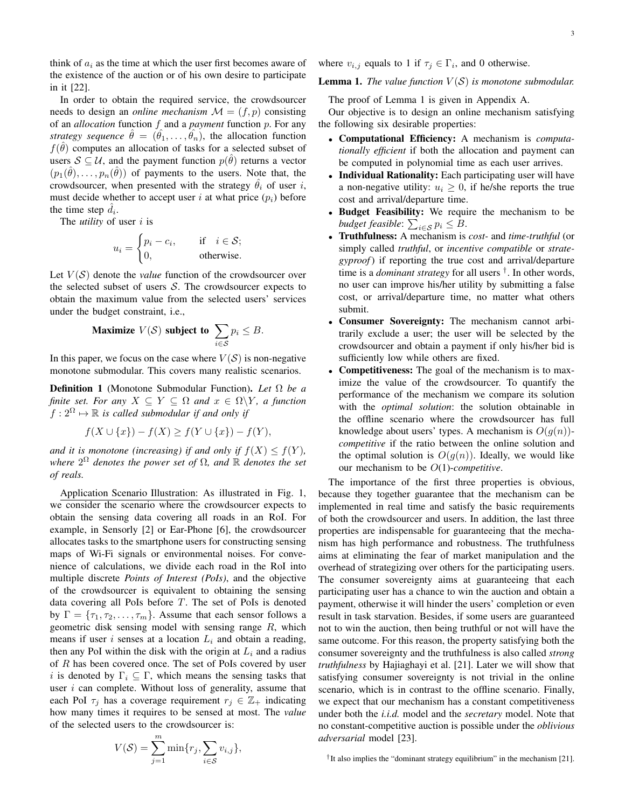think of  $a_i$  as the time at which the user first becomes aware of the existence of the auction or of his own desire to participate in it [22].

In order to obtain the required service, the crowdsourcer needs to design an *online mechanism*  $\mathcal{M} = (f, p)$  consisting of an *allocation* function *f* and a *payment* function *p*. For any *strategy sequence*  $\hat{\theta} = (\hat{\theta}_1, \dots, \hat{\theta}_n)$ , the allocation function  $f(\hat{\theta})$  computes an allocation of tasks for a selected subset of users  $S \subseteq U$ , and the payment function  $p(\hat{\theta})$  returns a vector  $(p_1(\hat{\theta}), \ldots, p_n(\hat{\theta}))$  of payments to the users. Note that, the crowdsourcer, when presented with the strategy  $\hat{\theta}_i$  of user *i*, must decide whether to accept user *i* at what price  $(p_i)$  before the time step  $\hat{d}_i$ .

The *utility* of user *i* is

$$
u_i = \begin{cases} p_i - c_i, & \text{if } i \in \mathcal{S}; \\ 0, & \text{otherwise.} \end{cases}
$$

Let  $V(S)$  denote the *value* function of the crowdsourcer over the selected subset of users *S*. The crowdsourcer expects to obtain the maximum value from the selected users' services under the budget constraint, i.e.,

**Maximize** 
$$
V(S)
$$
 **subject to**  $\sum_{i \in S} p_i \leq B$ .

In this paper, we focus on the case where  $V(S)$  is non-negative monotone submodular. This covers many realistic scenarios.

Definition 1 (Monotone Submodular Function). *Let* Ω *be a finite set. For any*  $X \subseteq Y \subseteq \Omega$  *and*  $x \in \Omega \backslash Y$ , *a function*  $f: 2^{\Omega} \mapsto \mathbb{R}$  *is called submodular if and only if* 

$$
f(X \cup \{x\}) - f(X) \ge f(Y \cup \{x\}) - f(Y),
$$

*and it is monotone (increasing) if and only if*  $f(X) < f(Y)$ , *where* 2 <sup>Ω</sup> *denotes the power set of* Ω*, and* R *denotes the set of reals.*

Application Scenario Illustration: As illustrated in Fig. 1, we consider the scenario where the crowdsourcer expects to obtain the sensing data covering all roads in an RoI. For example, in Sensorly [2] or Ear-Phone [6], the crowdsourcer allocates tasks to the smartphone users for constructing sensing maps of Wi-Fi signals or environmental noises. For convenience of calculations, we divide each road in the RoI into multiple discrete *Points of Interest (PoIs)*, and the objective of the crowdsourcer is equivalent to obtaining the sensing data covering all PoIs before *T*. The set of PoIs is denoted by  $\Gamma = {\tau_1, \tau_2, \ldots, \tau_m}$ . Assume that each sensor follows a geometric disk sensing model with sensing range *R*, which means if user *i* senses at a location *L<sup>i</sup>* and obtain a reading, then any PoI within the disk with the origin at  $L_i$  and a radius of *R* has been covered once. The set of PoIs covered by user *i* is denoted by  $\Gamma_i \subseteq \Gamma$ , which means the sensing tasks that user *i* can complete. Without loss of generality, assume that each PoI  $\tau_j$  has a coverage requirement  $r_j \in \mathbb{Z}_+$  indicating how many times it requires to be sensed at most. The *value* of the selected users to the crowdsourcer is:

$$
V(S) = \sum_{j=1}^{m} \min\{r_j, \sum_{i \in S} v_{i,j}\},\
$$

where  $v_{i,j}$  equals to 1 if  $\tau_j \in \Gamma_i$ , and 0 otherwise.

## **Lemma 1.** *The value function*  $V(S)$  *is monotone submodular.*

The proof of Lemma 1 is given in Appendix A.

Our objective is to design an online mechanism satisfying the following six desirable properties:

- *•* Computational Efficiency: A mechanism is *computationally efficient* if both the allocation and payment can be computed in polynomial time as each user arrives.
- **Individual Rationality:** Each participating user will have a non-negative utility:  $u_i \geq 0$ , if he/she reports the true cost and arrival/departure time.
- *•* Budget Feasibility: We require the mechanism to be *budget feasible*:  $\sum_{i \in S} p_i \leq B$ .
- *•* Truthfulness: A mechanism is *cost-* and *time-truthful* (or simply called *truthful*, or *incentive compatible* or *strategyproof*) if reporting the true cost and arrival/departure time is a *dominant strategy* for all users *†* . In other words, no user can improve his/her utility by submitting a false cost, or arrival/departure time, no matter what others submit.
- *•* Consumer Sovereignty: The mechanism cannot arbitrarily exclude a user; the user will be selected by the crowdsourcer and obtain a payment if only his/her bid is sufficiently low while others are fixed.
- Competitiveness: The goal of the mechanism is to maximize the value of the crowdsourcer. To quantify the performance of the mechanism we compare its solution with the *optimal solution*: the solution obtainable in the offline scenario where the crowdsourcer has full knowledge about users' types. A mechanism is  $O(g(n))$ *competitive* if the ratio between the online solution and the optimal solution is  $O(q(n))$ . Ideally, we would like our mechanism to be *O*(1)-*competitive*.

The importance of the first three properties is obvious, because they together guarantee that the mechanism can be implemented in real time and satisfy the basic requirements of both the crowdsourcer and users. In addition, the last three properties are indispensable for guaranteeing that the mechanism has high performance and robustness. The truthfulness aims at eliminating the fear of market manipulation and the overhead of strategizing over others for the participating users. The consumer sovereignty aims at guaranteeing that each participating user has a chance to win the auction and obtain a payment, otherwise it will hinder the users' completion or even result in task starvation. Besides, if some users are guaranteed not to win the auction, then being truthful or not will have the same outcome. For this reason, the property satisfying both the consumer sovereignty and the truthfulness is also called *strong truthfulness* by Hajiaghayi et al. [21]. Later we will show that satisfying consumer sovereignty is not trivial in the online scenario, which is in contrast to the offline scenario. Finally, we expect that our mechanism has a constant competitiveness under both the *i.i.d.* model and the *secretary* model. Note that no constant-competitive auction is possible under the *oblivious adversarial* model [23].

<sup>†</sup>It also implies the "dominant strategy equilibrium" in the mechanism [21].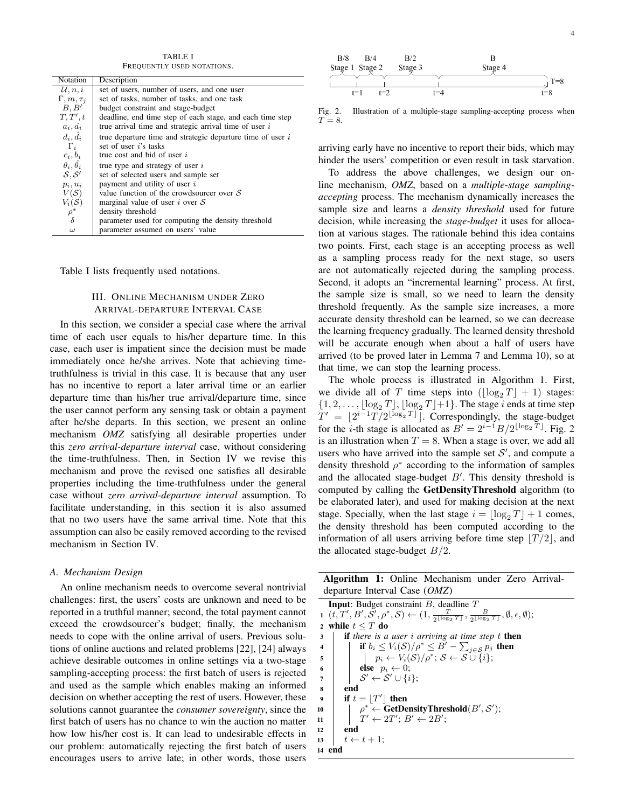TABLE I FREQUENTLY USED NOTATIONS.

| Notation                             | Description                                                |
|--------------------------------------|------------------------------------------------------------|
| $\mathcal{U}, n, i$                  | set of users, number of users, and one user                |
| $\Gamma, m, \tau_i$                  | set of tasks, number of tasks, and one task                |
| B, B'                                | budget constraint and stage-budget                         |
| T, T', t                             | deadline, end time step of each stage, and each time step  |
| $a_i, \hat{a_i}$                     | true arrival time and strategic arrival time of user $i$   |
| $d_i, \hat{d}_i$                     | true departure time and strategic departure time of user i |
| $\Gamma_i$                           | set of user i's tasks                                      |
| $c_i, b_i$                           | true cost and bid of user $i$                              |
| $\theta_i, \hat{\theta_i}$           | true type and strategy of user $i$                         |
| S, S'                                | set of selected users and sample set                       |
| $p_i, u_i$                           | payment and utility of user i                              |
| V(S)                                 | value function of the crowdsourcer over $S$                |
|                                      | marginal value of user i over $S$                          |
| $V_i(\mathcal{S}) \ \rho^*_{\delta}$ | density threshold                                          |
|                                      | parameter used for computing the density threshold         |
| $\omega$                             | parameter assumed on users' value                          |

Table I lists frequently used notations.

## III. ONLINE MECHANISM UNDER ZERO ARRIVAL-DEPARTURE INTERVAL CASE

In this section, we consider a special case where the arrival time of each user equals to his/her departure time. In this case, each user is impatient since the decision must be made immediately once he/she arrives. Note that achieving timetruthfulness is trivial in this case. It is because that any user has no incentive to report a later arrival time or an earlier departure time than his/her true arrival/departure time, since the user cannot perform any sensing task or obtain a payment after he/she departs. In this section, we present an online mechanism *OMZ* satisfying all desirable properties under this *zero arrival-departure interval* case, without considering the time-truthfulness. Then, in Section IV we revise this mechanism and prove the revised one satisfies all desirable properties including the time-truthfulness under the general case without *zero arrival-departure interval* assumption. To facilitate understanding, in this section it is also assumed that no two users have the same arrival time. Note that this assumption can also be easily removed according to the revised mechanism in Section IV.

#### *A. Mechanism Design*

An online mechanism needs to overcome several nontrivial challenges: first, the users' costs are unknown and need to be reported in a truthful manner; second, the total payment cannot exceed the crowdsourcer's budget; finally, the mechanism needs to cope with the online arrival of users. Previous solutions of online auctions and related problems [22], [24] always achieve desirable outcomes in online settings via a two-stage sampling-accepting process: the first batch of users is rejected and used as the sample which enables making an informed decision on whether accepting the rest of users. However, these solutions cannot guarantee the *consumer sovereignty*, since the first batch of users has no chance to win the auction no matter how low his/her cost is. It can lead to undesirable effects in our problem: automatically rejecting the first batch of users encourages users to arrive late; in other words, those users



Fig. 2. Illustration of a multiple-stage sampling-accepting process when  $T = 8$ .

arriving early have no incentive to report their bids, which may hinder the users' competition or even result in task starvation.

To address the above challenges, we design our online mechanism, *OMZ*, based on a *multiple-stage samplingaccepting* process. The mechanism dynamically increases the sample size and learns a *density threshold* used for future decision, while increasing the *stage-budget* it uses for allocation at various stages. The rationale behind this idea contains two points. First, each stage is an accepting process as well as a sampling process ready for the next stage, so users are not automatically rejected during the sampling process. Second, it adopts an "incremental learning" process. At first, the sample size is small, so we need to learn the density threshold frequently. As the sample size increases, a more accurate density threshold can be learned, so we can decrease the learning frequency gradually. The learned density threshold will be accurate enough when about a half of users have arrived (to be proved later in Lemma 7 and Lemma 10), so at that time, we can stop the learning process.

The whole process is illustrated in Algorithm 1. First, we divide all of *T* time steps into  $(\lfloor \log_2 T \rfloor + 1)$  stages:  $\{1, 2, \ldots, \lfloor \log_2 T \rfloor, \lfloor \log_2 T \rfloor + 1\}.$  The stage *i* ends at time step  $T' = \lfloor 2^{i-1}T/2^{\lfloor \log_2 T \rfloor} \rfloor$ . Correspondingly, the stage-budget for the *i*-th stage is allocated as  $B' = 2^{i-1}B/2^{\lfloor \log_2 T \rfloor}$ . Fig. 2 is an illustration when  $T = 8$ . When a stage is over, we add all users who have arrived into the sample set  $S'$ , and compute a density threshold  $\rho^*$  according to the information of samples and the allocated stage-budget *B′* . This density threshold is computed by calling the GetDensityThreshold algorithm (to be elaborated later), and used for making decision at the next stage. Specially, when the last stage  $i = \lfloor \log_2 T \rfloor + 1$  comes, the density threshold has been computed according to the information of all users arriving before time step  $|T/2|$ , and the allocated stage-budget *B/*2.

Algorithm 1: Online Mechanism under Zero Arrivaldeparture Interval Case (*OMZ*)

Input: Budget constraint *B*, deadline *T*  $1(t, T', B', \mathcal{S}', \rho^*, \mathcal{S}) \leftarrow (1, \frac{T}{2^{\lfloor \log_2 T \rfloor}}, \frac{B}{2^{\lfloor \log_2 T \rfloor}}, \emptyset, \epsilon, \emptyset);$ <sup>2</sup> while *t ≤ T* do <sup>3</sup> if *there is a user i arriving at time step t* then  $4$  | if  $b_i \leq V_i(\mathcal{S})/\rho^* \leq B' - \sum_{j \in \mathcal{S}} p_j$  then  $\mathcal{S} \quad | \quad | \quad p_i \leftarrow V_i(\mathcal{S})/\rho^*; \, \mathcal{S} \leftarrow \mathcal{S} \cup \{i\};$ 6 **else**  $p_i \leftarrow 0$ ;  $\begin{array}{|c|c|c|c|}\hline \rule{0pt}{8pt} \mathcal{S}' & \leftarrow \mathcal{S}' \cup \{i\};\ \hline \end{array}$ <sup>8</sup> end 9  $\vert$  if  $t = \vert T' \vert$  then <sup>10</sup> *ρ*  $*$   $\leftarrow$  GetDensityThreshold $(B', \mathcal{S}')$ ;  $T' \leftarrow 2T'; B' \leftarrow 2B';$ <sup>12</sup> end 13  $t \leftarrow t + 1;$ <sup>14</sup> end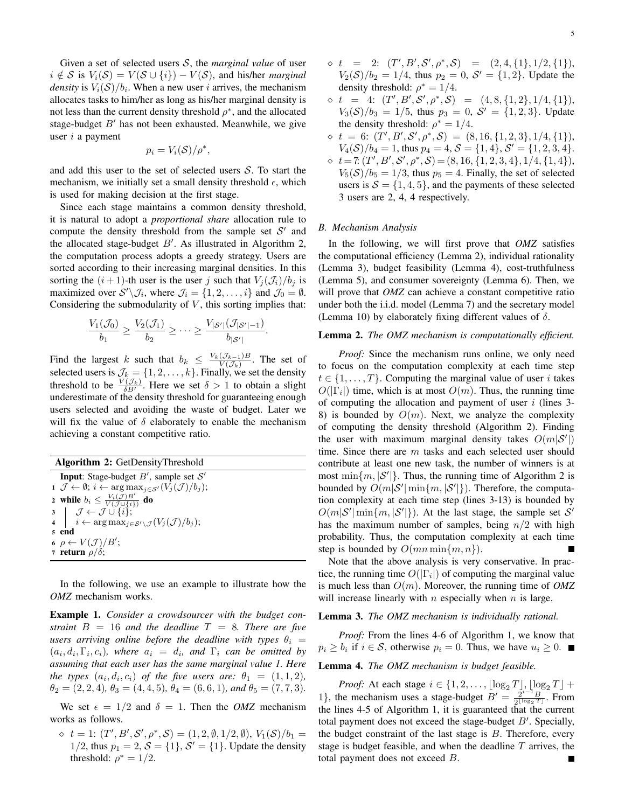Given a set of selected users *S*, the *marginal value* of user  $i \notin S$  is  $V_i(S) = V(S \cup \{i\}) - V(S)$ , and his/her *marginal density* is  $V_i(\mathcal{S})/b_i$ . When a new user *i* arrives, the mechanism allocates tasks to him/her as long as his/her marginal density is not less than the current density threshold  $\rho^*$ , and the allocated stage-budget *B′* has not been exhausted. Meanwhile, we give user *i* a payment

$$
p_i = V_i(\mathcal{S})/\rho^*
$$

*,*

and add this user to the set of selected users *S*. To start the mechanism, we initially set a small density threshold  $\epsilon$ , which is used for making decision at the first stage.

Since each stage maintains a common density threshold, it is natural to adopt a *proportional share* allocation rule to compute the density threshold from the sample set  $S'$  and the allocated stage-budget *B′* . As illustrated in Algorithm 2, the computation process adopts a greedy strategy. Users are sorted according to their increasing marginal densities. In this sorting the  $(i + 1)$ -th user is the user *j* such that  $V_j(\mathcal{J}_i)/b_j$  is maximized over  $S' \setminus \mathcal{J}_i$ , where  $\mathcal{J}_i = \{1, 2, \ldots, i\}$  and  $\mathcal{J}_0 = \emptyset$ . Considering the submodularity of  $V$ , this sorting implies that:

$$
\frac{V_1(\mathcal{J}_0)}{b_1} \ge \frac{V_2(\mathcal{J}_1)}{b_2} \ge \cdots \ge \frac{V_{|\mathcal{S}'|}(\mathcal{J}_{|\mathcal{S}'|-1})}{b_{|\mathcal{S}'|}}
$$

*.*

Find the largest *k* such that  $b_k \leq \frac{V_k(\mathcal{J}_{k-1})B}{V(\mathcal{J}_k)}$  $\frac{(J_k-1)D}{V(J_k)}$ . The set of selected users is  $\mathcal{J}_k = \{1, 2, \dots, k\}$ . Finally, we set the density threshold to be  $\frac{V(\mathcal{J}_k)}{\delta B'}$ . Here we set  $\delta > 1$  to obtain a slight underestimate of the density threshold for guaranteeing enough users selected and avoiding the waste of budget. Later we will fix the value of  $\delta$  elaborately to enable the mechanism achieving a constant competitive ratio.

| <b>Algorithm 2: GetDensityThreshold</b>                                                                                                                                                     |  |  |
|---------------------------------------------------------------------------------------------------------------------------------------------------------------------------------------------|--|--|
| <b>Input:</b> Stage-budget $B'$ , sample set $S'$                                                                                                                                           |  |  |
| $1 \mathcal{J} \leftarrow \emptyset; i \leftarrow \arg \max_{j \in \mathcal{S}'} (V_j(\mathcal{J})/b_j);$                                                                                   |  |  |
| 2 while $b_i \leq \frac{V_i(\mathcal{J})B'}{V(\mathcal{J} \cup \{i\})}$ do                                                                                                                  |  |  |
| $\begin{array}{c}\n3 \mid \mathcal{J} \leftarrow \mathcal{J} \cup \{i\}; \\ 4 \mid i \leftarrow \arg \max_{j \in \mathcal{S}' \setminus \mathcal{J}} (V_j(\mathcal{J})/b_j); \n\end{array}$ |  |  |
|                                                                                                                                                                                             |  |  |
| 5 end                                                                                                                                                                                       |  |  |
| 6 $\rho \leftarrow V(\mathcal{J})/B';$                                                                                                                                                      |  |  |
| 7 return $\rho/\delta$ ;                                                                                                                                                                    |  |  |
|                                                                                                                                                                                             |  |  |

In the following, we use an example to illustrate how the *OMZ* mechanism works.

Example 1. *Consider a crowdsourcer with the budget constraint*  $B = 16$  *and the deadline*  $T = 8$ *. There are five users arriving online before the deadline with types*  $\theta_i$  =  $(a_i, d_i, \Gamma_i, c_i)$ , where  $a_i = d_i$ , and  $\Gamma_i$  can be omitted by *assuming that each user has the same marginal value 1. Here the types*  $(a_i, d_i, c_i)$  *of the five users are:*  $\theta_1 = (1, 1, 2)$ *,*  $\theta_2 = (2, 2, 4)$ ,  $\theta_3 = (4, 4, 5)$ ,  $\theta_4 = (6, 6, 1)$ , and  $\theta_5 = (7, 7, 3)$ .

We set  $\epsilon = 1/2$  and  $\delta = 1$ . Then the *OMZ* mechanism works as follows.

 $\Diamond t = 1$ :  $(T', B', S', \rho^*, \mathcal{S}) = (1, 2, \emptyset, 1/2, \emptyset), V_1(\mathcal{S})/b_1 =$ 1/2, thus  $p_1 = 2, S = \{1\}, S' = \{1\}.$  Update the density threshold:  $\rho^* = 1/2$ .

- $\alpha$  *t* = 2:  $(T', B', S', \rho^*, S)$  =  $(2, 4, \{1\}, 1/2, \{1\}),$  $V_2(\mathcal{S})/b_2 = 1/4$ , thus  $p_2 = 0$ ,  $\mathcal{S}' = \{1, 2\}$ . Update the density threshold:  $\rho^* = 1/4$ .
- $\circ$  *t* = 4:  $(T', B', S', \rho^*, S) = (4, 8, \{1, 2\}, 1/4, \{1\}),$  $V_3(\mathcal{S})/b_3 = 1/5$ , thus  $p_3 = 0$ ,  $\mathcal{S}' = \{1, 2, 3\}$ . Update the density threshold:  $\rho^* = 1/4$ .
- $\varphi$  t = 6:  $(T', B', S', \rho^*, S) = (8, 16, \{1, 2, 3\}, 1/4, \{1\}),$  $V_4(\mathcal{S})/b_4 = 1$ , thus  $p_4 = 4$ ,  $\mathcal{S} = \{1, 4\}$ ,  $\mathcal{S}' = \{1, 2, 3, 4\}$ .
- $\varphi$  t = 7:  $(T', B', S', \rho^*, S) = (8, 16, \{1, 2, 3, 4\}, 1/4, \{1, 4\}),$  $V_5(\mathcal{S})/b_5 = 1/3$ , thus  $p_5 = 4$ . Finally, the set of selected users is  $S = \{1, 4, 5\}$ , and the payments of these selected 3 users are 2, 4, 4 respectively.

#### *B. Mechanism Analysis*

In the following, we will first prove that *OMZ* satisfies the computational efficiency (Lemma 2), individual rationality (Lemma 3), budget feasibility (Lemma 4), cost-truthfulness (Lemma 5), and consumer sovereignty (Lemma 6). Then, we will prove that *OMZ* can achieve a constant competitive ratio under both the i.i.d. model (Lemma 7) and the secretary model (Lemma 10) by elaborately fixing different values of *δ*.

#### Lemma 2. *The OMZ mechanism is computationally efficient.*

*Proof:* Since the mechanism runs online, we only need to focus on the computation complexity at each time step *t ∈ {*1*, . . . , T}*. Computing the marginal value of user *i* takes  $O(|\Gamma_i|)$  time, which is at most  $O(m)$ . Thus, the running time of computing the allocation and payment of user *i* (lines 3- 8) is bounded by  $O(m)$ . Next, we analyze the complexity of computing the density threshold (Algorithm 2). Finding the user with maximum marginal density takes  $O(m|\mathcal{S}'|)$ time. Since there are *m* tasks and each selected user should contribute at least one new task, the number of winners is at most  $\min\{m, |\mathcal{S}'|\}$ . Thus, the running time of Algorithm 2 is bounded by  $O(m|\mathcal{S'}| \min\{m, |\mathcal{S'}|\})$ . Therefore, the computation complexity at each time step (lines 3-13) is bounded by  $O(m|\mathcal{S}'| \min\{m, |\mathcal{S}'|\})$ . At the last stage, the sample set  $\mathcal{S}'$ has the maximum number of samples, being *n/*2 with high probability. Thus, the computation complexity at each time step is bounded by  $O(mn \min\{m, n\})$ .

Note that the above analysis is very conservative. In practice, the running time  $O(|\Gamma_i|)$  of computing the marginal value is much less than *O*(*m*). Moreover, the running time of *OMZ* will increase linearly with *n* especially when *n* is large.

#### Lemma 3. *The OMZ mechanism is individually rational.*

*Proof:* From the lines 4-6 of Algorithm 1, we know that  $p_i \geq b_i$  if  $i \in S$ , otherwise  $p_i = 0$ . Thus, we have  $u_i \geq 0$ .

#### Lemma 4. *The OMZ mechanism is budget feasible.*

*Proof:* At each stage  $i \in \{1, 2, \ldots, \lfloor \log_2 T \rfloor, \lfloor \log_2 T \rfloor + \lfloor \log_2 T \rfloor\}$ 1}, the mechanism uses a stage-budget  $B' = \frac{2^{i-1}B}{2^{\lfloor \log_2 T \rfloor}}$  $\frac{2^{v}+B}{2^{\lfloor \log_2 T \rfloor}}$ . From the lines 4-5 of Algorithm 1, it is guaranteed that the current total payment does not exceed the stage-budget *B′* . Specially, the budget constraint of the last stage is *B*. Therefore, every stage is budget feasible, and when the deadline *T* arrives, the total payment does not exceed *B*.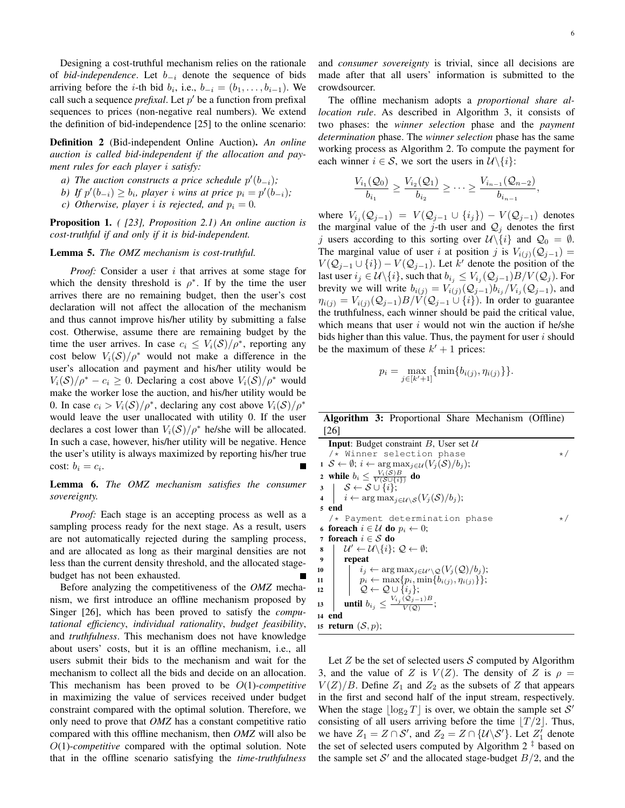Designing a cost-truthful mechanism relies on the rationale of *bid-independence*. Let *b−<sup>i</sup>* denote the sequence of bids arriving before the *i*-th bid  $b_i$ , i.e.,  $b_{-i} = (b_1, \ldots, b_{i-1})$ . We call such a sequence *prefixal*. Let *p ′* be a function from prefixal sequences to prices (non-negative real numbers). We extend the definition of bid-independence [25] to the online scenario:

Definition 2 (Bid-independent Online Auction). *An online auction is called bid-independent if the allocation and payment rules for each player i satisfy:*

- *a*) The auction constructs a price schedule  $p'(b_{-i})$ ;
- *b*) *If*  $p'(b_{-i}) \geq b_i$ , player *i* wins at price  $p_i = p'(b_{-i})$ ;
- *c*) *Otherwise, player i is rejected, and*  $p_i = 0$ *.*

Proposition 1. *( [23], Proposition 2.1) An online auction is cost-truthful if and only if it is bid-independent.*

Lemma 5. *The OMZ mechanism is cost-truthful.*

*Proof:* Consider a user *i* that arrives at some stage for which the density threshold is  $\rho^*$ . If by the time the user arrives there are no remaining budget, then the user's cost declaration will not affect the allocation of the mechanism and thus cannot improve his/her utility by submitting a false cost. Otherwise, assume there are remaining budget by the time the user arrives. In case  $c_i \leq V_i(\mathcal{S})/\rho^*$ , reporting any cost below  $V_i(\mathcal{S})/\rho^*$  would not make a difference in the user's allocation and payment and his/her utility would be  $V_i(\mathcal{S})/\rho^* - c_i \geq 0$ . Declaring a cost above  $V_i(\mathcal{S})/\rho^*$  would make the worker lose the auction, and his/her utility would be 0. In case  $c_i > V_i(\mathcal{S})/\rho^*$ , declaring any cost above  $V_i(\mathcal{S})/\rho^*$ would leave the user unallocated with utility 0. If the user declares a cost lower than  $V_i(\mathcal{S})/\rho^*$  he/she will be allocated. In such a case, however, his/her utility will be negative. Hence the user's utility is always maximized by reporting his/her true cost:  $b_i = c_i$ .

Lemma 6. *The OMZ mechanism satisfies the consumer sovereignty.*

*Proof:* Each stage is an accepting process as well as a sampling process ready for the next stage. As a result, users are not automatically rejected during the sampling process, and are allocated as long as their marginal densities are not less than the current density threshold, and the allocated stagebudget has not been exhausted.

Before analyzing the competitiveness of the *OMZ* mechanism, we first introduce an offline mechanism proposed by Singer [26], which has been proved to satisfy the *computational efficiency*, *individual rationality*, *budget feasibility*, and *truthfulness*. This mechanism does not have knowledge about users' costs, but it is an offline mechanism, i.e., all users submit their bids to the mechanism and wait for the mechanism to collect all the bids and decide on an allocation. This mechanism has been proved to be *O*(1)-*competitive* in maximizing the value of services received under budget constraint compared with the optimal solution. Therefore, we only need to prove that *OMZ* has a constant competitive ratio compared with this offline mechanism, then *OMZ* will also be *O*(1)-*competitive* compared with the optimal solution. Note that in the offline scenario satisfying the *time-truthfulness* and *consumer sovereignty* is trivial, since all decisions are made after that all users' information is submitted to the crowdsourcer.

The offline mechanism adopts a *proportional share allocation rule*. As described in Algorithm 3, it consists of two phases: the *winner selection* phase and the *payment determination* phase. The *winner selection* phase has the same working process as Algorithm 2. To compute the payment for each winner  $i \in S$ , we sort the users in  $\mathcal{U}\backslash\{i\}$ :

$$
\frac{V_{i_1}(\mathcal{Q}_0)}{b_{i_1}} \ge \frac{V_{i_2}(\mathcal{Q}_1)}{b_{i_2}} \ge \cdots \ge \frac{V_{i_{n-1}}(\mathcal{Q}_{n-2})}{b_{i_{n-1}}},
$$

 $V_{i_j}(\mathcal{Q}_{j-1}) = V(\mathcal{Q}_{j-1} \cup \{i_j\}) - V(\mathcal{Q}_{j-1})$  denotes the marginal value of the *j*-th user and  $Q_i$  denotes the first *j* users according to this sorting over  $U\backslash\{i\}$  and  $\mathcal{Q}_0 = \emptyset$ . The marginal value of user *i* at position *j* is  $V_{i(j)}(Q_{j-1}) =$ *V*( $Q_{j-1}$  *∪* {*i*}) *− V*( $Q_{j-1}$ ). Let *k*<sup>*'*</sup> denote the position of the last user  $i_j \in \mathcal{U} \backslash \{i\}$ , such that  $b_{i_j} \leq V_{i_j}(\mathcal{Q}_{j-1})B/V(\mathcal{Q}_j)$ . For brevity we will write  $b_{i(j)} = V_{i(j)}(Q_{j-1})b_{i_j}/V_{i_j}(Q_{j-1})$ , and  $\eta_{i(j)} = V_{i(j)}(Q_{j-1})B/V(Q_{j-1} \cup \{i\})$ . In order to guarantee the truthfulness, each winner should be paid the critical value, which means that user *i* would not win the auction if he/she bids higher than this value. Thus, the payment for user *i* should be the maximum of these  $k' + 1$  prices:

$$
p_i = \max_{j \in [k'+1]} \{\min\{b_{i(j)}, \eta_{i(j)}\}\}.
$$

Algorithm 3: Proportional Share Mechanism (Offline) [26]

|                  | <b>Input:</b> Budget constraint B, User set $U$                                                                                                                                                                                                                                                        |           |
|------------------|--------------------------------------------------------------------------------------------------------------------------------------------------------------------------------------------------------------------------------------------------------------------------------------------------------|-----------|
|                  | /* Winner selection phase                                                                                                                                                                                                                                                                              | $\star$ / |
|                  | $1 \mathcal{S} \leftarrow \emptyset; i \leftarrow \arg \max_{j \in \mathcal{U}} (V_j(\mathcal{S})/b_j);$                                                                                                                                                                                               |           |
|                  | 2 while $b_i \leq \frac{V_i(\mathcal{S})B}{V(\mathcal{S} \cup \{i\})}$ do                                                                                                                                                                                                                              |           |
|                  |                                                                                                                                                                                                                                                                                                        |           |
|                  | 3 $\begin{array}{c} S \leftarrow \mathcal{S} \cup \{i\};\\ 4 \leftarrow \arg \max_{j \in \mathcal{U} \setminus \mathcal{S}} (V_j(\mathcal{S})/b_j); \end{array}$                                                                                                                                       |           |
|                  | 5 end                                                                                                                                                                                                                                                                                                  |           |
|                  | /* Payment determination phase                                                                                                                                                                                                                                                                         | $\star/$  |
|                  | 6 foreach $i \in \mathcal{U}$ do $p_i \leftarrow 0$ ;                                                                                                                                                                                                                                                  |           |
|                  | 7 foreach $i \in S$ do                                                                                                                                                                                                                                                                                 |           |
| 8                | $\mathcal{U}' \leftarrow \mathcal{U} \backslash \{i\}; \mathcal{Q} \leftarrow \emptyset;$                                                                                                                                                                                                              |           |
| $\boldsymbol{9}$ | repeat                                                                                                                                                                                                                                                                                                 |           |
| 10               | $i_j \leftarrow \arg \max_{i \in \mathcal{U} \setminus \mathcal{Q}} (V_i(\mathcal{Q})/b_i);$<br>$\left  \begin{array}{c} i_j \leftarrow \arg \max_{j \in \mathcal{U} \setminus \mathcal{Q}} (V_j(\mathcal{Q})/b_j); \\ p_i \leftarrow \max\{p_i, \min\{b_{i(j)}, \eta_{i(j)}\}\}; \end{array} \right.$ |           |
| 11               |                                                                                                                                                                                                                                                                                                        |           |
| 12               | $\mathcal{Q} \leftarrow \mathcal{Q} \cup \{i_j\};$                                                                                                                                                                                                                                                     |           |
| 13               | until $b_{i_j} \leq \frac{V_{i_j}(\mathcal{Q}_{j-1})B}{V(\mathcal{Q})}$ ;                                                                                                                                                                                                                              |           |
|                  | 14 end                                                                                                                                                                                                                                                                                                 |           |
|                  | 15 return $(S, p)$ ;                                                                                                                                                                                                                                                                                   |           |

Let *Z* be the set of selected users *S* computed by Algorithm 3, and the value of *Z* is  $V(Z)$ . The density of *Z* is  $\rho =$  $V(Z)/B$ . Define  $Z_1$  and  $Z_2$  as the subsets of *Z* that appears in the first and second half of the input stream, respectively. When the stage  $\lfloor \log_2 T \rfloor$  is over, we obtain the sample set *S'* consisting of all users arriving before the time  $[T/2]$ . Thus, we have  $Z_1 = Z \cap S'$ , and  $Z_2 = Z \cap \{ \mathcal{U} \backslash S' \}$ . Let  $Z'_1$  denote the set of selected users computed by Algorithm 2 *‡* based on the sample set  $S'$  and the allocated stage-budget  $B/2$ , and the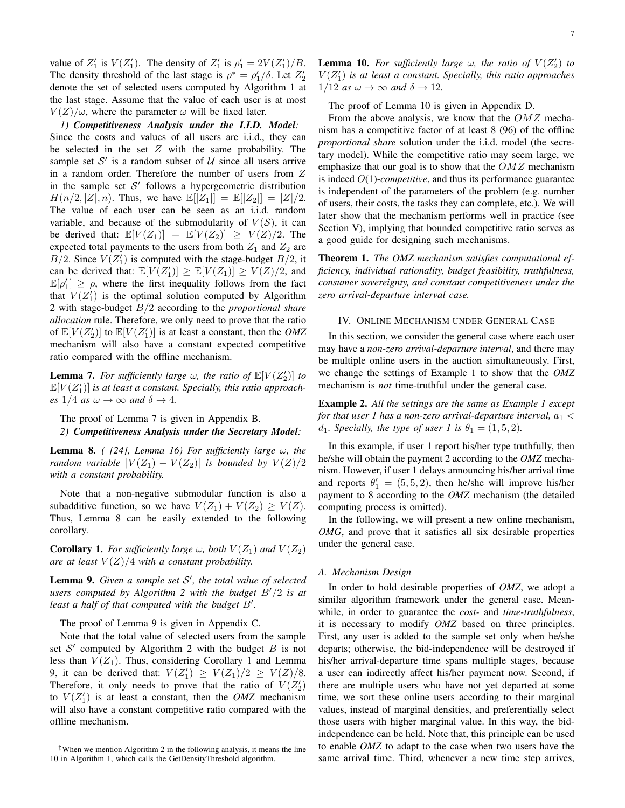value of  $Z'_1$  is  $V(Z'_1)$ . The density of  $Z'_1$  is  $\rho'_1 = 2V(Z'_1)/B$ . The density threshold of the last stage is  $\rho^* = \rho'_1/\delta$ . Let  $Z'_2$ denote the set of selected users computed by Algorithm 1 at the last stage. Assume that the value of each user is at most  $V(Z)/\omega$ , where the parameter  $\omega$  will be fixed later.

*1) Competitiveness Analysis under the I.I.D. Model:* Since the costs and values of all users are i.i.d., they can be selected in the set *Z* with the same probability. The sample set  $S'$  is a random subset of  $U$  since all users arrive in a random order. Therefore the number of users from *Z* in the sample set  $S'$  follows a hypergeometric distribution *H*( $n/2$ ,  $|Z|$ ,  $n$ ). Thus, we have  $\mathbb{E}[|Z_1|] = \mathbb{E}[|Z_2|] = |Z|/2$ . The value of each user can be seen as an i.i.d. random variable, and because of the submodularity of  $V(S)$ , it can be derived that:  $\mathbb{E}[V(Z_1)] = \mathbb{E}[V(Z_2)] \ge V(Z)/2$ . The expected total payments to the users from both  $Z_1$  and  $Z_2$  are *B*/2. Since  $V(Z'_1)$  is computed with the stage-budget *B*/2, it can be derived that:  $\mathbb{E}[V(Z_1')] \geq \mathbb{E}[V(Z_1)] \geq V(Z)/2$ , and  $\mathbb{E}[\rho'_1] \geq \rho$ , where the first inequality follows from the fact that  $V(Z_1')$  is the optimal solution computed by Algorithm 2 with stage-budget *B/*2 according to the *proportional share allocation* rule. Therefore, we only need to prove that the ratio of  $\mathbb{E}[V(Z'_2)]$  to  $\mathbb{E}[V(Z'_1)]$  is at least a constant, then the *OMZ* mechanism will also have a constant expected competitive ratio compared with the offline mechanism.

**Lemma 7.** For sufficiently large  $\omega$ , the ratio of  $\mathbb{E}[V(Z_2')]$  to  $\mathbb{E}[V(Z_1')]$  is at least a constant. Specially, this ratio approach*es*  $1/4$  *as*  $\omega \rightarrow \infty$  *and*  $\delta \rightarrow 4$ *.* 

## The proof of Lemma 7 is given in Appendix B. *2) Competitiveness Analysis under the Secretary Model:*

**Lemma 8.** *(* $[24]$ *, Lemma 16) For sufficiently large*  $\omega$ *, the random variable*  $|V(Z_1) - V(Z_2)|$  *is bounded by*  $V(Z)/2$ *with a constant probability.*

Note that a non-negative submodular function is also a subadditive function, so we have  $V(Z_1) + V(Z_2) \geq V(Z)$ . Thus, Lemma 8 can be easily extended to the following corollary.

**Corollary 1.** *For sufficiently large*  $\omega$ *, both*  $V(Z_1)$  *and*  $V(Z_2)$ *are at least*  $V(Z)/4$  *with a constant probability.* 

Lemma 9. *Given a sample set S ′ , the total value of selected users computed by Algorithm 2 with the budget B′/*2 *is at least a half of that computed with the budget B′ .*

The proof of Lemma 9 is given in Appendix C.

Note that the total value of selected users from the sample set *S ′* computed by Algorithm 2 with the budget *B* is not less than  $V(Z_1)$ . Thus, considering Corollary 1 and Lemma 9, it can be derived that:  $V(Z_1') \ge V(Z_1)/2 \ge V(Z)/8$ . Therefore, it only needs to prove that the ratio of  $V(Z_2')$ to  $V(Z'_1)$  is at least a constant, then the *OMZ* mechanism will also have a constant competitive ratio compared with the offline mechanism.

**Lemma 10.** For sufficiently large  $\omega$ , the ratio of  $V(Z'_2)$  to  $V(Z'_1)$  *is at least a constant. Specially, this ratio approaches*  $1/12$  *as*  $\omega \rightarrow \infty$  *and*  $\delta \rightarrow 12$ *.* 

The proof of Lemma 10 is given in Appendix D.

From the above analysis, we know that the *OMZ* mechanism has a competitive factor of at least 8 (96) of the offline *proportional share* solution under the i.i.d. model (the secretary model). While the competitive ratio may seem large, we emphasize that our goal is to show that the *OMZ* mechanism is indeed *O*(1)-*competitive*, and thus its performance guarantee is independent of the parameters of the problem (e.g. number of users, their costs, the tasks they can complete, etc.). We will later show that the mechanism performs well in practice (see Section V), implying that bounded competitive ratio serves as a good guide for designing such mechanisms.

Theorem 1. *The OMZ mechanism satisfies computational efficiency, individual rationality, budget feasibility, truthfulness, consumer sovereignty, and constant competitiveness under the zero arrival-departure interval case.*

## IV. ONLINE MECHANISM UNDER GENERAL CASE

In this section, we consider the general case where each user may have a *non-zero arrival-departure interval*, and there may be multiple online users in the auction simultaneously. First, we change the settings of Example 1 to show that the *OMZ* mechanism is *not* time-truthful under the general case.

Example 2. *All the settings are the same as Example 1 except for that user 1 has a non-zero arrival-departure interval,*  $a_1$   $\lt$ *d*<sub>1</sub>*. Specially, the type of user 1 is*  $\theta_1 = (1, 5, 2)$ *<i>.* 

In this example, if user 1 report his/her type truthfully, then he/she will obtain the payment 2 according to the *OMZ* mechanism. However, if user 1 delays announcing his/her arrival time and reports  $\theta'_1 = (5, 5, 2)$ , then he/she will improve his/her payment to 8 according to the *OMZ* mechanism (the detailed computing process is omitted).

In the following, we will present a new online mechanism, *OMG*, and prove that it satisfies all six desirable properties under the general case.

#### *A. Mechanism Design*

In order to hold desirable properties of *OMZ*, we adopt a similar algorithm framework under the general case. Meanwhile, in order to guarantee the *cost-* and *time-truthfulness*, it is necessary to modify *OMZ* based on three principles. First, any user is added to the sample set only when he/she departs; otherwise, the bid-independence will be destroyed if his/her arrival-departure time spans multiple stages, because a user can indirectly affect his/her payment now. Second, if there are multiple users who have not yet departed at some time, we sort these online users according to their marginal values, instead of marginal densities, and preferentially select those users with higher marginal value. In this way, the bidindependence can be held. Note that, this principle can be used to enable *OMZ* to adapt to the case when two users have the same arrival time. Third, whenever a new time step arrives,

*<sup>‡</sup>*When we mention Algorithm 2 in the following analysis, it means the line 10 in Algorithm 1, which calls the GetDensityThreshold algorithm.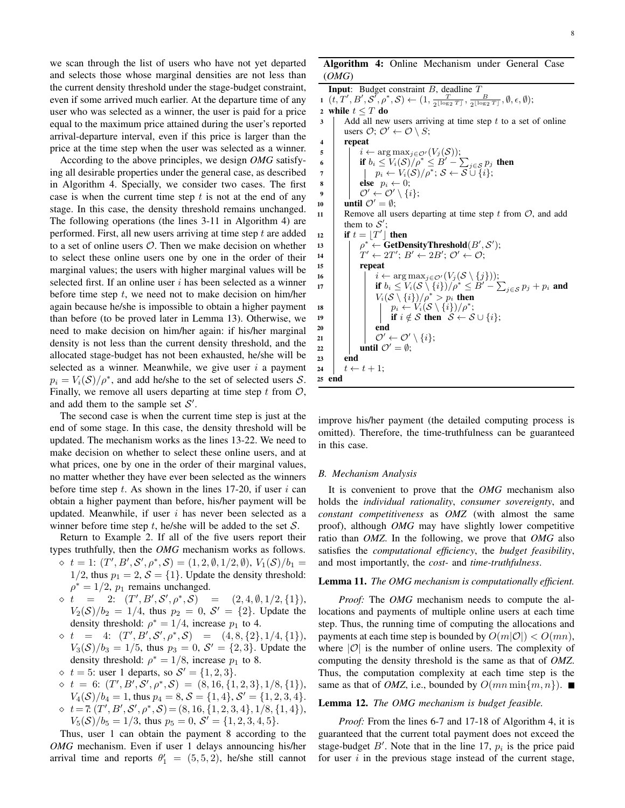we scan through the list of users who have not yet departed and selects those whose marginal densities are not less than the current density threshold under the stage-budget constraint, even if some arrived much earlier. At the departure time of any user who was selected as a winner, the user is paid for a price equal to the maximum price attained during the user's reported arrival-departure interval, even if this price is larger than the price at the time step when the user was selected as a winner.

According to the above principles, we design *OMG* satisfying all desirable properties under the general case, as described in Algorithm 4. Specially, we consider two cases. The first case is when the current time step *t* is not at the end of any stage. In this case, the density threshold remains unchanged. The following operations (the lines 3-11 in Algorithm 4) are performed. First, all new users arriving at time step *t* are added to a set of online users *O*. Then we make decision on whether to select these online users one by one in the order of their marginal values; the users with higher marginal values will be selected first. If an online user *i* has been selected as a winner before time step *t*, we need not to make decision on him/her again because he/she is impossible to obtain a higher payment than before (to be proved later in Lemma 13). Otherwise, we need to make decision on him/her again: if his/her marginal density is not less than the current density threshold, and the allocated stage-budget has not been exhausted, he/she will be selected as a winner. Meanwhile, we give user *i* a payment  $p_i = V_i(\mathcal{S})/\rho^*$ , and add he/she to the set of selected users *S*. Finally, we remove all users departing at time step *t* from *O*, and add them to the sample set *S ′* .

The second case is when the current time step is just at the end of some stage. In this case, the density threshold will be updated. The mechanism works as the lines 13-22. We need to make decision on whether to select these online users, and at what prices, one by one in the order of their marginal values, no matter whether they have ever been selected as the winners before time step *t*. As shown in the lines 17-20, if user *i* can obtain a higher payment than before, his/her payment will be updated. Meanwhile, if user *i* has never been selected as a winner before time step *t*, he/she will be added to the set *S*.

Return to Example 2. If all of the five users report their types truthfully, then the *OMG* mechanism works as follows.  $\Diamond t = 1$ :  $(T', B', S', \rho^*, \mathcal{S}) = (1, 2, \emptyset, 1/2, \emptyset), V_1(\mathcal{S})/b_1 =$ 

- 1/2, thus  $p_1 = 2$ ,  $S = \{1\}$ . Update the density threshold:  $\rho^* = 1/2$ ,  $p_1$  remains unchanged.
- $\diamond$  *t* = 2:  $(T', B', S', \rho^*, S)$  =  $(2, 4, \emptyset, 1/2, \{1\}),$  $V_2(\mathcal{S})/b_2 = 1/4$ , thus  $p_2 = 0$ ,  $\mathcal{S}' = \{2\}$ . Update the density threshold:  $\rho^* = 1/4$ , increase  $p_1$  to 4.
- $\circ$  *t* = 4:  $(T', B', S', \rho^*, S)$  =  $(4, 8, \{2\}, 1/4, \{1\}),$  $V_3(\mathcal{S})/b_3 = 1/5$ , thus  $p_3 = 0$ ,  $\mathcal{S}' = \{2, 3\}$ . Update the density threshold:  $\rho^* = 1/8$ , increase  $p_1$  to 8.
- $\circ$  *t* = 5: user 1 departs, so  $S' = \{1, 2, 3\}.$
- $\varphi$  t = 6:  $(T', B', \mathcal{S}', \rho^*, \mathcal{S}) = (8, 16, \{1, 2, 3\}, 1/8, \{1\}),$  $V_4(\mathcal{S})/b_4 = 1$ , thus  $p_4 = 8$ ,  $\mathcal{S} = \{1, 4\}$ ,  $\mathcal{S}' = \{1, 2, 3, 4\}$ .  $\varphi$  t = 7:  $(T', B', S', \rho^*, S) = (8, 16, \{1, 2, 3, 4\}, 1/8, \{1, 4\}),$  $V_5(\mathcal{S})/b_5 = 1/3$ , thus  $p_5 = 0$ ,  $\mathcal{S}' = \{1, 2, 3, 4, 5\}$ .

Thus, user 1 can obtain the payment 8 according to the *OMG* mechanism. Even if user 1 delays announcing his/her arrival time and reports  $\theta'_1 = (5, 5, 2)$ , he/she still cannot

Algorithm 4: Online Mechanism under General Case (*OMG*)

|                  | <b>Input:</b> Budget constraint $B$ , deadline $T$                                                                                                                          |  |  |  |
|------------------|-----------------------------------------------------------------------------------------------------------------------------------------------------------------------------|--|--|--|
|                  | $1(t, T', B', \mathcal{S}', \rho^*, \mathcal{S}) \leftarrow (1, \frac{T}{2\lfloor \log_2 T \rfloor}, \frac{B}{2\lfloor \log_2 T \rfloor}, \emptyset, \epsilon, \emptyset);$ |  |  |  |
|                  | 2 while $t \leq T$ do                                                                                                                                                       |  |  |  |
| 3                | Add all new users arriving at time step $t$ to a set of online                                                                                                              |  |  |  |
|                  | users $\mathcal{O}$ ; $\mathcal{O}' \leftarrow \mathcal{O} \setminus S$ ;                                                                                                   |  |  |  |
| 4                | repeat                                                                                                                                                                      |  |  |  |
| 5                | $i \leftarrow \arg \max_{j \in \mathcal{O}'} (V_j(\mathcal{S}));$                                                                                                           |  |  |  |
| 6                | if $b_i \leq V_i(\mathcal{S})/\rho^* \leq B' - \sum_{j \in \mathcal{S}} p_j$ then                                                                                           |  |  |  |
| 7                | $\vert p_i \leftarrow V_i(\mathcal{S})/\rho^*; \mathcal{S} \leftarrow \mathcal{S} \cup \{i\};$                                                                              |  |  |  |
| 8                | <b>else</b> $p_i \leftarrow 0$ ;                                                                                                                                            |  |  |  |
| $\boldsymbol{9}$ | $\mathcal{O}' \leftarrow \mathcal{O}' \setminus \{i\};$                                                                                                                     |  |  |  |
| 10               | until $\mathcal{O}' = \emptyset$ :                                                                                                                                          |  |  |  |
| 11               | Remove all users departing at time step t from $\mathcal{O}$ , and add                                                                                                      |  |  |  |
|                  | them to $S'$ ;                                                                                                                                                              |  |  |  |
| 12               | if $t =  T' $ then                                                                                                                                                          |  |  |  |
| 13               | $\rho^* \leftarrow$ GetDensityThreshold $(B', \mathcal{S}')$ ;                                                                                                              |  |  |  |
| 14               | $T' \leftarrow 2T'; B' \leftarrow 2B'; \mathcal{O}' \leftarrow \mathcal{O};$                                                                                                |  |  |  |
| 15               | repeat                                                                                                                                                                      |  |  |  |
| 16               | $i \leftarrow \arg \max_{j \in \mathcal{O}'} (V_j(\mathcal{S} \setminus \{j\}));$                                                                                           |  |  |  |
| 17               | if $b_i \leq V_i(\mathcal{S} \setminus \{i\})/\rho^* \leq B' - \sum_{i \in \mathcal{S}} p_i + p_i$ and                                                                      |  |  |  |
|                  | $V_i(\mathcal{S} \setminus \{i\})/\rho^* > p_i$ then                                                                                                                        |  |  |  |
| 18               |                                                                                                                                                                             |  |  |  |
| 19               | $p_i \leftarrow V_i(\mathcal{S} \setminus \{i\})/\rho^*;$<br>if $i \notin \mathcal{S}$ then $\mathcal{S} \leftarrow \mathcal{S} \cup \{i\};$                                |  |  |  |
| 20               | end                                                                                                                                                                         |  |  |  |
| 21               | $\mathcal{O}' \leftarrow \mathcal{O}' \setminus \{i\};$                                                                                                                     |  |  |  |
| 22               | until $\mathcal{O}' = \emptyset$ ;                                                                                                                                          |  |  |  |
| 23               | end                                                                                                                                                                         |  |  |  |
| 24               | $t \leftarrow t + 1$ ;                                                                                                                                                      |  |  |  |
|                  | 25 end                                                                                                                                                                      |  |  |  |

improve his/her payment (the detailed computing process is omitted). Therefore, the time-truthfulness can be guaranteed in this case.

#### *B. Mechanism Analysis*

It is convenient to prove that the *OMG* mechanism also holds the *individual rationality*, *consumer sovereignty*, and *constant competitiveness* as *OMZ* (with almost the same proof), although *OMG* may have slightly lower competitive ratio than *OMZ*. In the following, we prove that *OMG* also satisfies the *computational efficiency*, the *budget feasibility*, and most importantly, the *cost-* and *time-truthfulness*.

#### Lemma 11. *The OMG mechanism is computationally efficient.*

*Proof:* The *OMG* mechanism needs to compute the allocations and payments of multiple online users at each time step. Thus, the running time of computing the allocations and payments at each time step is bounded by  $O(m|\mathcal{O}|) < O(mn)$ , where  $|O|$  is the number of online users. The complexity of computing the density threshold is the same as that of *OMZ*. Thus, the computation complexity at each time step is the same as that of *OMZ*, i.e., bounded by  $O(mn \min\{m, n\})$ .

#### Lemma 12. *The OMG mechanism is budget feasible.*

*Proof:* From the lines 6-7 and 17-18 of Algorithm 4, it is guaranteed that the current total payment does not exceed the stage-budget  $B'$ . Note that in the line 17,  $p_i$  is the price paid for user *i* in the previous stage instead of the current stage,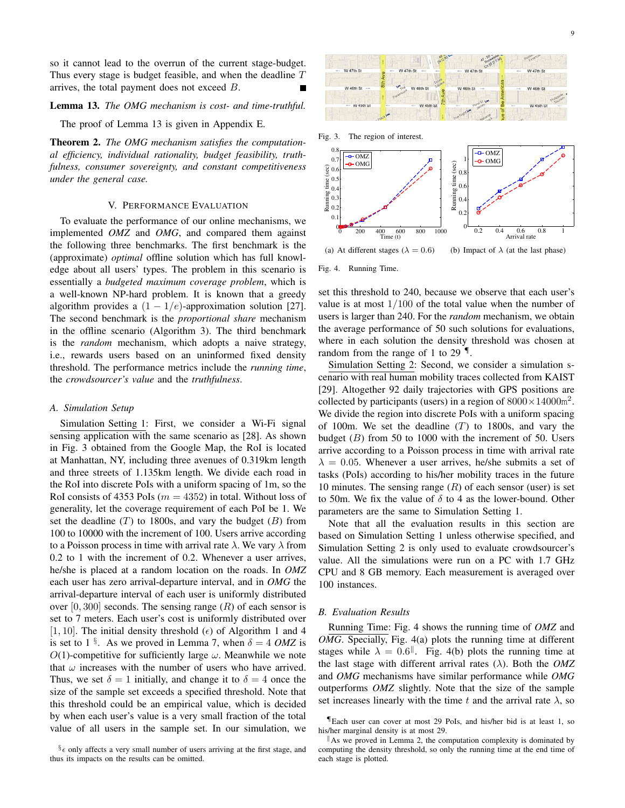so it cannot lead to the overrun of the current stage-budget. Thus every stage is budget feasible, and when the deadline *T* arrives, the total payment does not exceed *B*.

## Lemma 13. *The OMG mechanism is cost- and time-truthful.*

The proof of Lemma 13 is given in Appendix E.

Theorem 2. *The OMG mechanism satisfies the computational efficiency, individual rationality, budget feasibility, truthfulness, consumer sovereignty, and constant competitiveness under the general case.*

#### V. PERFORMANCE EVALUATION

To evaluate the performance of our online mechanisms, we implemented *OMZ* and *OMG*, and compared them against the following three benchmarks. The first benchmark is the (approximate) *optimal* offline solution which has full knowledge about all users' types. The problem in this scenario is essentially a *budgeted maximum coverage problem*, which is a well-known NP-hard problem. It is known that a greedy algorithm provides a (1 *−* 1*/e*)-approximation solution [27]. The second benchmark is the *proportional share* mechanism in the offline scenario (Algorithm 3). The third benchmark is the *random* mechanism, which adopts a naive strategy, i.e., rewards users based on an uninformed fixed density threshold. The performance metrics include the *running time*, the *crowdsourcer's value* and the *truthfulness*.

#### *A. Simulation Setup*

Simulation Setting 1: First, we consider a Wi-Fi signal sensing application with the same scenario as [28]. As shown in Fig. 3 obtained from the Google Map, the RoI is located at Manhattan, NY, including three avenues of 0.319km length and three streets of 1.135km length. We divide each road in the RoI into discrete PoIs with a uniform spacing of 1m, so the RoI consists of 4353 PoIs  $(m = 4352)$  in total. Without loss of generality, let the coverage requirement of each PoI be 1. We set the deadline (*T*) to 1800s, and vary the budget (*B*) from 100 to 10000 with the increment of 100. Users arrive according to a Poisson process in time with arrival rate *λ*. We vary *λ* from 0.2 to 1 with the increment of 0.2. Whenever a user arrives, he/she is placed at a random location on the roads. In *OMZ* each user has zero arrival-departure interval, and in *OMG* the arrival-departure interval of each user is uniformly distributed over  $[0, 300]$  seconds. The sensing range  $(R)$  of each sensor is set to 7 meters. Each user's cost is uniformly distributed over [1, 10]. The initial density threshold  $(\epsilon)$  of Algorithm 1 and 4 is set to  $1^{\S}$ . As we proved in Lemma 7, when  $\delta = 4$  *OMZ* is *O*(1)-competitive for sufficiently large *ω*. Meanwhile we note that  $\omega$  increases with the number of users who have arrived. Thus, we set  $\delta = 1$  initially, and change it to  $\delta = 4$  once the size of the sample set exceeds a specified threshold. Note that this threshold could be an empirical value, which is decided by when each user's value is a very small fraction of the total value of all users in the sample set. In our simulation, we

 $\frac{6}{6}$  only affects a very small number of users arriving at the first stage, and thus its impacts on the results can be omitted.







Fig. 4. Running Time.

set this threshold to 240, because we observe that each user's value is at most 1*/*100 of the total value when the number of users is larger than 240. For the *random* mechanism, we obtain the average performance of 50 such solutions for evaluations, where in each solution the density threshold was chosen at random from the range of 1 to 29 *¶*.

Simulation Setting 2: Second, we consider a simulation scenario with real human mobility traces collected from KAIST [29]. Altogether 92 daily trajectories with GPS positions are collected by participants (users) in a region of 8000*×*14000m 2 . We divide the region into discrete PoIs with a uniform spacing of 100m. We set the deadline (*T*) to 1800s, and vary the budget (*B*) from 50 to 1000 with the increment of 50. Users arrive according to a Poisson process in time with arrival rate  $\lambda = 0.05$ . Whenever a user arrives, he/she submits a set of tasks (PoIs) according to his/her mobility traces in the future 10 minutes. The sensing range (*R*) of each sensor (user) is set to 50m. We fix the value of *δ* to 4 as the lower-bound. Other parameters are the same to Simulation Setting 1.

Note that all the evaluation results in this section are based on Simulation Setting 1 unless otherwise specified, and Simulation Setting 2 is only used to evaluate crowdsourcer's value. All the simulations were run on a PC with 1.7 GHz CPU and 8 GB memory. Each measurement is averaged over 100 instances.

#### *B. Evaluation Results*

Running Time: Fig. 4 shows the running time of *OMZ* and *OMG*. Specially, Fig. 4(a) plots the running time at different stages while  $\lambda = 0.6$ <sup>||</sup>. Fig. 4(b) plots the running time at the last stage with different arrival rates (*λ*). Both the *OMZ* and *OMG* mechanisms have similar performance while *OMG* outperforms *OMZ* slightly. Note that the size of the sample set increases linearly with the time  $t$  and the arrival rate  $\lambda$ , so

*<sup>¶</sup>*Each user can cover at most 29 PoIs, and his/her bid is at least 1, so his/her marginal density is at most 29.

*<sup>∥</sup>*As we proved in Lemma 2, the computation complexity is dominated by computing the density threshold, so only the running time at the end time of each stage is plotted.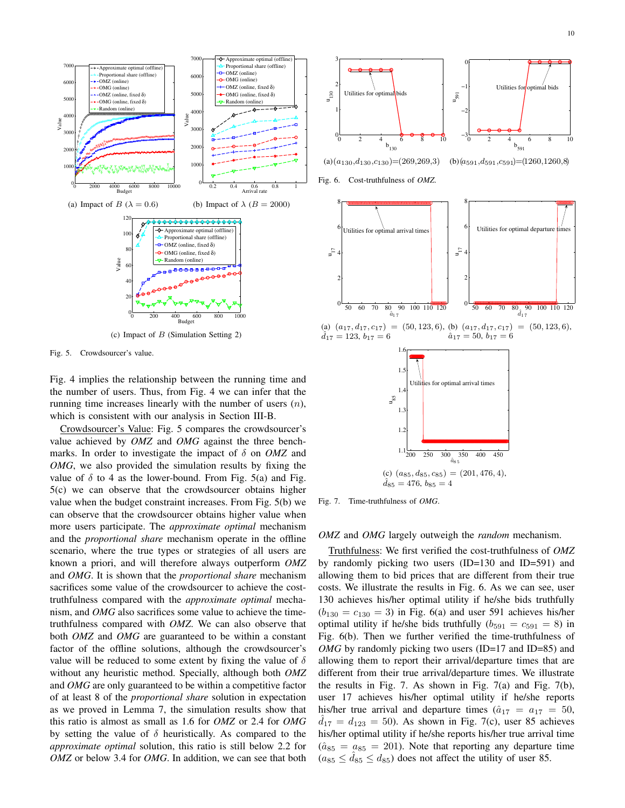

(c) Impact of *B* (Simulation Setting 2)

Fig. 5. Crowdsourcer's value.

Fig. 4 implies the relationship between the running time and the number of users. Thus, from Fig. 4 we can infer that the running time increases linearly with the number of users (*n*), which is consistent with our analysis in Section III-B.

Crowdsourcer's Value: Fig. 5 compares the crowdsourcer's value achieved by *OMZ* and *OMG* against the three benchmarks. In order to investigate the impact of *δ* on *OMZ* and *OMG*, we also provided the simulation results by fixing the value of  $\delta$  to 4 as the lower-bound. From Fig. 5(a) and Fig. 5(c) we can observe that the crowdsourcer obtains higher value when the budget constraint increases. From Fig. 5(b) we can observe that the crowdsourcer obtains higher value when more users participate. The *approximate optimal* mechanism and the *proportional share* mechanism operate in the offline scenario, where the true types or strategies of all users are known a priori, and will therefore always outperform *OMZ* and *OMG*. It is shown that the *proportional share* mechanism sacrifices some value of the crowdsourcer to achieve the costtruthfulness compared with the *approximate optimal* mechanism, and *OMG* also sacrifices some value to achieve the timetruthfulness compared with *OMZ*. We can also observe that both *OMZ* and *OMG* are guaranteed to be within a constant factor of the offline solutions, although the crowdsourcer's value will be reduced to some extent by fixing the value of *δ* without any heuristic method. Specially, although both *OMZ* and *OMG* are only guaranteed to be within a competitive factor of at least 8 of the *proportional share* solution in expectation as we proved in Lemma 7, the simulation results show that this ratio is almost as small as 1.6 for *OMZ* or 2.4 for *OMG* by setting the value of  $\delta$  heuristically. As compared to the *approximate optimal* solution, this ratio is still below 2.2 for **OMIGALIZE THE SURFACE CONSULTER SINCE THE SURFACE OR CALIFORNIA (C) INTERNATIONAL CONSULTER SURFACE OR CALIFORNIA (C) INTERNATIONAL CONSULTER SURFACE OR CALIFORNIA (C) INTERNATIONAL CONSULTER SURFACE OR CALIFORNIA (C) IN** 



(a)(*a*130*,d*130*,c*130)=(269*,*269*,*3) (b)(*a*591*,d*591*,c*591)=(1260*,*1260*,*8)

Fig. 6. Cost-truthfulness of *OMZ*.



Fig. 7. Time-truthfulness of *OMG*.

*OMZ* and *OMG* largely outweigh the *random* mechanism.

Truthfulness: We first verified the cost-truthfulness of *OMZ* by randomly picking two users (ID=130 and ID=591) and allowing them to bid prices that are different from their true costs. We illustrate the results in Fig. 6. As we can see, user 130 achieves his/her optimal utility if he/she bids truthfully  $(b_{130} = c_{130} = 3)$  in Fig. 6(a) and user 591 achieves his/her optimal utility if he/she bids truthfully  $(b_{591} = c_{591} = 8)$  in Fig. 6(b). Then we further verified the time-truthfulness of *OMG* by randomly picking two users (ID=17 and ID=85) and allowing them to report their arrival/departure times that are different from their true arrival/departure times. We illustrate the results in Fig. 7. As shown in Fig.  $7(a)$  and Fig.  $7(b)$ , user 17 achieves his/her optimal utility if he/she reports his/her true arrival and departure times ( $\hat{a}_{17} = a_{17} = 50$ ,  $d_{17} = d_{123} = 50$ . As shown in Fig. 7(c), user 85 achieves his/her optimal utility if he/she reports his/her true arrival time  $(\hat{a}_{85} = a_{85} = 201)$ . Note that reporting any departure time  $(a_{85} \leq \hat{d}_{85} \leq d_{85})$  does not affect the utility of user 85.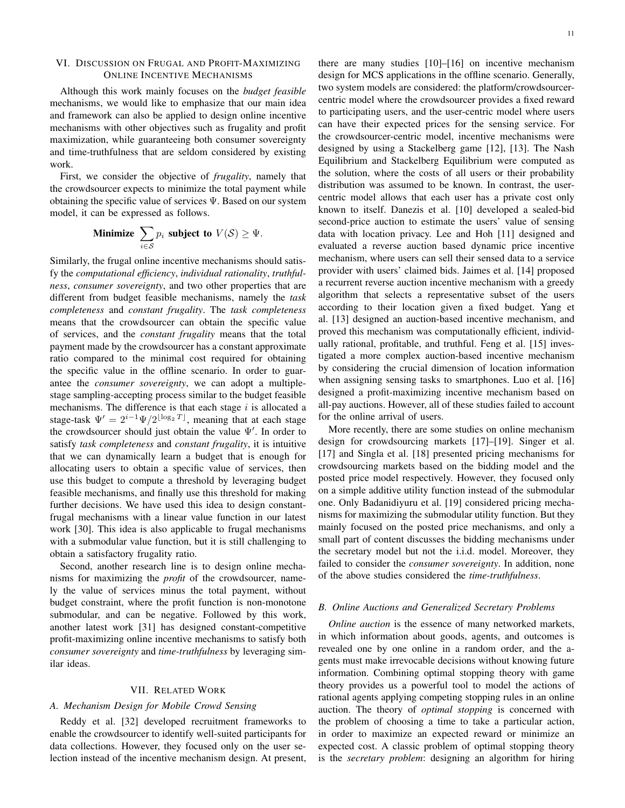## VI. DISCUSSION ON FRUGAL AND PROFIT-MAXIMIZING ONLINE INCENTIVE MECHANISMS

Although this work mainly focuses on the *budget feasible* mechanisms, we would like to emphasize that our main idea and framework can also be applied to design online incentive mechanisms with other objectives such as frugality and profit maximization, while guaranteeing both consumer sovereignty and time-truthfulness that are seldom considered by existing work.

First, we consider the objective of *frugality*, namely that the crowdsourcer expects to minimize the total payment while obtaining the specific value of services Ψ. Based on our system model, it can be expressed as follows.

**Minimize** 
$$
\sum_{i \in S} p_i
$$
 **subject to** 
$$
V(S) \geq \Psi.
$$

Similarly, the frugal online incentive mechanisms should satisfy the *computational efficiency*, *individual rationality*, *truthfulness*, *consumer sovereignty*, and two other properties that are different from budget feasible mechanisms, namely the *task completeness* and *constant frugality*. The *task completeness* means that the crowdsourcer can obtain the specific value of services, and the *constant frugality* means that the total payment made by the crowdsourcer has a constant approximate ratio compared to the minimal cost required for obtaining the specific value in the offline scenario. In order to guarantee the *consumer sovereignty*, we can adopt a multiplestage sampling-accepting process similar to the budget feasible mechanisms. The difference is that each stage *i* is allocated a stage-task  $\Psi' = 2^{i-1} \Psi/2^{\lfloor \log_2 T \rfloor}$ , meaning that at each stage the crowdsourcer should just obtain the value Ψ*′* . In order to satisfy *task completeness* and *constant frugality*, it is intuitive that we can dynamically learn a budget that is enough for allocating users to obtain a specific value of services, then use this budget to compute a threshold by leveraging budget feasible mechanisms, and finally use this threshold for making further decisions. We have used this idea to design constantfrugal mechanisms with a linear value function in our latest work [30]. This idea is also applicable to frugal mechanisms with a submodular value function, but it is still challenging to obtain a satisfactory frugality ratio.

Second, another research line is to design online mechanisms for maximizing the *profit* of the crowdsourcer, namely the value of services minus the total payment, without budget constraint, where the profit function is non-monotone submodular, and can be negative. Followed by this work, another latest work [31] has designed constant-competitive profit-maximizing online incentive mechanisms to satisfy both *consumer sovereignty* and *time-truthfulness* by leveraging similar ideas.

## VII. RELATED WORK

## *A. Mechanism Design for Mobile Crowd Sensing*

Reddy et al. [32] developed recruitment frameworks to enable the crowdsourcer to identify well-suited participants for data collections. However, they focused only on the user selection instead of the incentive mechanism design. At present, there are many studies [10]–[16] on incentive mechanism design for MCS applications in the offline scenario. Generally, two system models are considered: the platform/crowdsourcercentric model where the crowdsourcer provides a fixed reward to participating users, and the user-centric model where users can have their expected prices for the sensing service. For the crowdsourcer-centric model, incentive mechanisms were designed by using a Stackelberg game [12], [13]. The Nash Equilibrium and Stackelberg Equilibrium were computed as the solution, where the costs of all users or their probability distribution was assumed to be known. In contrast, the usercentric model allows that each user has a private cost only known to itself. Danezis et al. [10] developed a sealed-bid second-price auction to estimate the users' value of sensing data with location privacy. Lee and Hoh [11] designed and evaluated a reverse auction based dynamic price incentive mechanism, where users can sell their sensed data to a service provider with users' claimed bids. Jaimes et al. [14] proposed a recurrent reverse auction incentive mechanism with a greedy algorithm that selects a representative subset of the users according to their location given a fixed budget. Yang et al. [13] designed an auction-based incentive mechanism, and proved this mechanism was computationally efficient, individually rational, profitable, and truthful. Feng et al. [15] investigated a more complex auction-based incentive mechanism by considering the crucial dimension of location information when assigning sensing tasks to smartphones. Luo et al. [16] designed a profit-maximizing incentive mechanism based on all-pay auctions. However, all of these studies failed to account for the online arrival of users.

More recently, there are some studies on online mechanism design for crowdsourcing markets [17]–[19]. Singer et al. [17] and Singla et al. [18] presented pricing mechanisms for crowdsourcing markets based on the bidding model and the posted price model respectively. However, they focused only on a simple additive utility function instead of the submodular one. Only Badanidiyuru et al. [19] considered pricing mechanisms for maximizing the submodular utility function. But they mainly focused on the posted price mechanisms, and only a small part of content discusses the bidding mechanisms under the secretary model but not the i.i.d. model. Moreover, they failed to consider the *consumer sovereignty*. In addition, none of the above studies considered the *time-truthfulness*.

#### *B. Online Auctions and Generalized Secretary Problems*

*Online auction* is the essence of many networked markets, in which information about goods, agents, and outcomes is revealed one by one online in a random order, and the agents must make irrevocable decisions without knowing future information. Combining optimal stopping theory with game theory provides us a powerful tool to model the actions of rational agents applying competing stopping rules in an online auction. The theory of *optimal stopping* is concerned with the problem of choosing a time to take a particular action, in order to maximize an expected reward or minimize an expected cost. A classic problem of optimal stopping theory is the *secretary problem*: designing an algorithm for hiring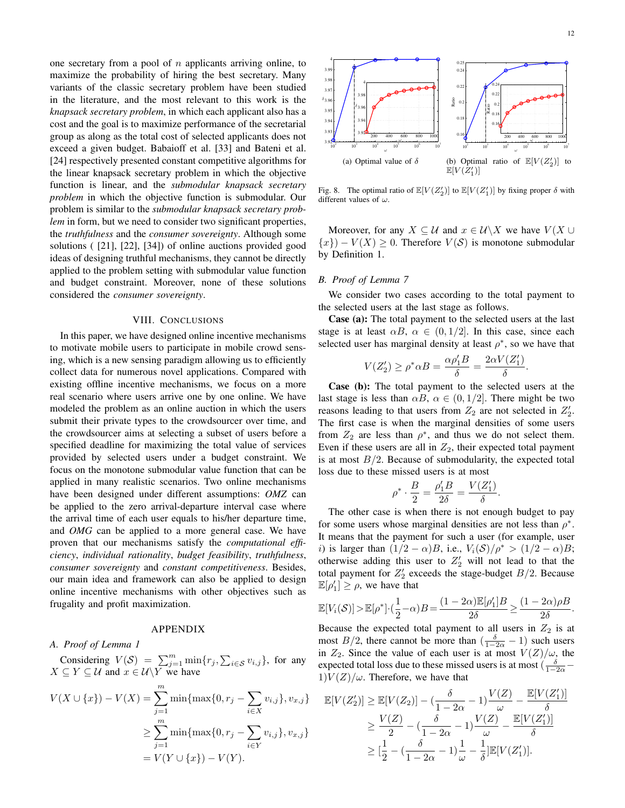one secretary from a pool of *n* applicants arriving online, to maximize the probability of hiring the best secretary. Many variants of the classic secretary problem have been studied in the literature, and the most relevant to this work is the *knapsack secretary problem*, in which each applicant also has a cost and the goal is to maximize performance of the secretarial group as along as the total cost of selected applicants does not exceed a given budget. Babaioff et al. [33] and Bateni et al. [24] respectively presented constant competitive algorithms for the linear knapsack secretary problem in which the objective function is linear, and the *submodular knapsack secretary problem* in which the objective function is submodular. Our problem is similar to the *submodular knapsack secretary problem* in form, but we need to consider two significant properties, the *truthfulness* and the *consumer sovereignty*. Although some solutions ( [21], [22], [34]) of online auctions provided good ideas of designing truthful mechanisms, they cannot be directly applied to the problem setting with submodular value function and budget constraint. Moreover, none of these solutions considered the *consumer sovereignty*.

### VIII. CONCLUSIONS

In this paper, we have designed online incentive mechanisms to motivate mobile users to participate in mobile crowd sensing, which is a new sensing paradigm allowing us to efficiently collect data for numerous novel applications. Compared with existing offline incentive mechanisms, we focus on a more real scenario where users arrive one by one online. We have modeled the problem as an online auction in which the users submit their private types to the crowdsourcer over time, and the crowdsourcer aims at selecting a subset of users before a specified deadline for maximizing the total value of services provided by selected users under a budget constraint. We focus on the monotone submodular value function that can be applied in many realistic scenarios. Two online mechanisms have been designed under different assumptions: *OMZ* can be applied to the zero arrival-departure interval case where the arrival time of each user equals to his/her departure time, and *OMG* can be applied to a more general case. We have proven that our mechanisms satisfy the *computational efficiency*, *individual rationality*, *budget feasibility*, *truthfulness*, *consumer sovereignty* and *constant competitiveness*. Besides, our main idea and framework can also be applied to design online incentive mechanisms with other objectives such as frugality and profit maximization.

#### APPENDIX

## *A. Proof of Lemma 1*

Considering  $V(S) = \sum_{j=1}^{m} \min\{r_j, \sum_{i \in S} v_{i,j}\}\$ , for any  $X \subseteq Y \subseteq \mathcal{U}$  and  $x \in \mathcal{U}\setminus Y$  we have

$$
V(X \cup \{x\}) - V(X) = \sum_{j=1}^{m} \min\{\max\{0, r_j - \sum_{i \in X} v_{i,j}\}, v_{x,j}\}
$$

$$
\geq \sum_{j=1}^{m} \min\{\max\{0, r_j - \sum_{i \in Y} v_{i,j}\}, v_{x,j}\}
$$

$$
= V(Y \cup \{x\}) - V(Y).
$$

Fig. 8. The optimal ratio of  $\mathbb{E}[V(Z'_2)]$  to  $\mathbb{E}[V(Z'_1)]$  by fixing proper  $\delta$  with different values of *ω*.

Moreover, for any  $X \subseteq \mathcal{U}$  and  $x \in \mathcal{U}\setminus X$  we have  $V(X \cup$ *{x}*) − *V*(*X*) ≥ 0. Therefore *V*(*S*) is monotone submodular by Definition 1.

## *B. Proof of Lemma 7*

 $3.93 +$  $3.94$ 3.95  $\delta$ <sub>3.96</sub> $\cdot$ 3.97 3.98 3.99  $4-$ 

We consider two cases according to the total payment to the selected users at the last stage as follows.

Case (a): The total payment to the selected users at the last stage is at least  $\alpha B$ ,  $\alpha \in (0, 1/2]$ . In this case, since each selected user has marginal density at least  $\rho^*$ , so we have that

$$
V(Z'_2) \ge \rho^* \alpha B = \frac{\alpha \rho'_1 B}{\delta} = \frac{2\alpha V(Z'_1)}{\delta}.
$$

Case (b): The total payment to the selected users at the last stage is less than  $\alpha B$ ,  $\alpha \in (0, 1/2]$ . There might be two reasons leading to that users from  $Z_2$  are not selected in  $Z'_2$ . The first case is when the marginal densities of some users from  $Z_2$  are less than  $\rho^*$ , and thus we do not select them. Even if these users are all in  $Z_2$ , their expected total payment is at most *B/*2. Because of submodularity, the expected total loss due to these missed users is at most

$$
\rho^* \cdot \frac{B}{2} = \frac{\rho'_1 B}{2\delta} = \frac{V(Z'_1)}{\delta}.
$$

The other case is when there is not enough budget to pay for some users whose marginal densities are not less than  $\rho^*$ . It means that the payment for such a user (for example, user *i*) is larger than  $(1/2 - \alpha)B$ , i.e.,  $V_i(\mathcal{S})/\rho^* > (1/2 - \alpha)B$ ; otherwise adding this user to  $Z'_2$  will not lead to that the total payment for  $Z'_2$  exceeds the stage-budget  $B/2$ . Because  $\mathbb{E}[\rho'_1] \geq \rho$ , we have that

$$
\mathbb{E}[V_i(\mathcal{S})] > \mathbb{E}[\rho^*] \cdot (\frac{1}{2} - \alpha)B = \frac{(1 - 2\alpha)\mathbb{E}[\rho'_1]B}{2\delta} \ge \frac{(1 - 2\alpha)\rho B}{2\delta}.
$$

Because the expected total payment to all users in  $Z_2$  is at most *B/*2, there cannot be more than  $\left(\frac{\delta}{1-2\alpha} - 1\right)$  such users in  $Z_2$ . Since the value of each user is at most  $V(Z)/\omega$ , the expected total loss due to these missed users is at most  $\left(\frac{\delta}{1-2\alpha}-1\right) V(Z)$  $1$ *)* $V(Z)/\omega$ . Therefore, we have that

$$
\mathbb{E}[V(Z_2')] \geq \mathbb{E}[V(Z_2)] - \left(\frac{\delta}{1-2\alpha} - 1\right)\frac{V(Z)}{\omega} - \frac{\mathbb{E}[V(Z_1')]}{\delta}
$$
  
\n
$$
\geq \frac{V(Z)}{2} - \left(\frac{\delta}{1-2\alpha} - 1\right)\frac{V(Z)}{\omega} - \frac{\mathbb{E}[V(Z_1')]}{\delta}
$$
  
\n
$$
\geq \left[\frac{1}{2} - \left(\frac{\delta}{1-2\alpha} - 1\right)\frac{1}{\omega} - \frac{1}{\delta}\right] \mathbb{E}[V(Z_1')].
$$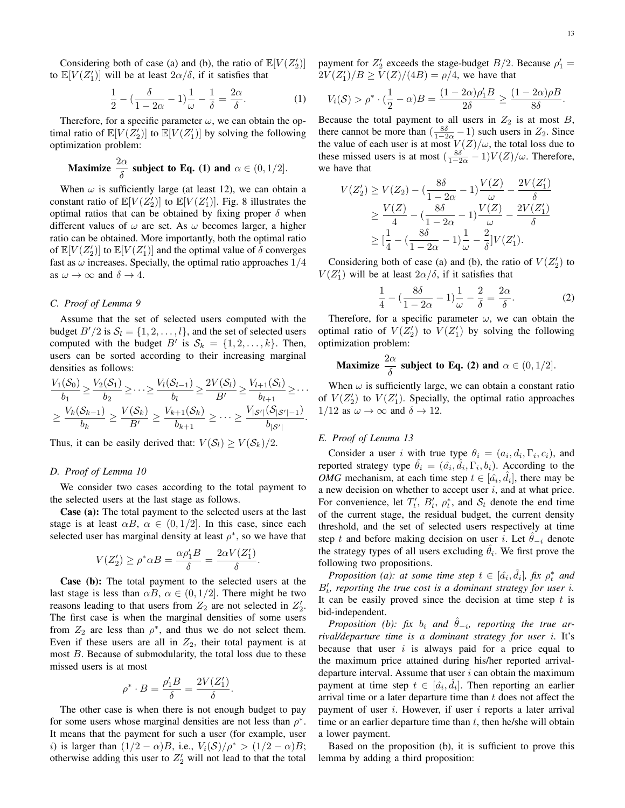Considering both of case (a) and (b), the ratio of  $\mathbb{E}[V(Z_2')]$ to  $\mathbb{E}[V(Z_1')]$  will be at least  $2\alpha/\delta$ , if it satisfies that

$$
\frac{1}{2} - \left(\frac{\delta}{1 - 2\alpha} - 1\right)\frac{1}{\omega} - \frac{1}{\delta} = \frac{2\alpha}{\delta}.
$$
 (1)

Therefore, for a specific parameter  $\omega$ , we can obtain the optimal ratio of  $\mathbb{E}[V(Z_2')]$  to  $\mathbb{E}[V(Z_1')]$  by solving the following optimization problem:

Maximize 
$$
\frac{2\alpha}{\delta}
$$
 subject to Eq. (1) and  $\alpha \in (0, 1/2]$ .

When  $\omega$  is sufficiently large (at least 12), we can obtain a constant ratio of  $\mathbb{E}[V(Z_2')]$  to  $\mathbb{E}[V(Z_1')]$ . Fig. 8 illustrates the optimal ratios that can be obtained by fixing proper  $\delta$  when different values of *ω* are set. As *ω* becomes larger, a higher ratio can be obtained. More importantly, both the optimal ratio of  $\mathbb{E}[V(Z'_2)]$  to  $\mathbb{E}[V(Z'_1)]$  and the optimal value of  $\delta$  converges fast as  $\omega$  increases. Specially, the optimal ratio approaches  $1/4$ as  $\omega \to \infty$  and  $\delta \to 4$ .

## *C. Proof of Lemma 9*

Assume that the set of selected users computed with the budget  $B'/2$  is  $S_l = \{1, 2, \ldots, l\}$ , and the set of selected users computed with the budget *B<sup>'</sup>* is  $S_k = \{1, 2, \ldots, k\}$ . Then, users can be sorted according to their increasing marginal densities as follows:

$$
\frac{V_1(\mathcal{S}_0)}{b_1} \ge \frac{V_2(\mathcal{S}_1)}{b_2} \ge \dots \ge \frac{V_l(\mathcal{S}_{l-1})}{b_l} \ge \frac{2V(\mathcal{S}_l)}{B'} \ge \frac{V_{l+1}(\mathcal{S}_l)}{b_{l+1}} \ge \dots \ge \frac{V_k(\mathcal{S}_{k-1})}{b_k} \ge \frac{V(\mathcal{S}_k)}{B'} \ge \frac{V_{k+1}(\mathcal{S}_k)}{b_{k+1}} \ge \dots \ge \frac{V_{|\mathcal{S}'|}(\mathcal{S}_{|\mathcal{S}'|-1})}{b_{|\mathcal{S}'|}}.
$$

Thus, it can be easily derived that:  $V(S_l) \geq V(S_k)/2$ .

#### *D. Proof of Lemma 10*

We consider two cases according to the total payment to the selected users at the last stage as follows.

Case (a): The total payment to the selected users at the last stage is at least  $\alpha B$ ,  $\alpha \in (0, 1/2]$ . In this case, since each selected user has marginal density at least  $\rho^*$ , so we have that

$$
V(Z_2') \ge \rho^* \alpha B = \frac{\alpha \rho_1' B}{\delta} = \frac{2\alpha V(Z_1')}{\delta}.
$$

Case (b): The total payment to the selected users at the last stage is less than  $\alpha B$ ,  $\alpha \in (0, 1/2]$ . There might be two reasons leading to that users from  $Z_2$  are not selected in  $Z'_2$ . The first case is when the marginal densities of some users from  $Z_2$  are less than  $\rho^*$ , and thus we do not select them. Even if these users are all in  $Z_2$ , their total payment is at most *B*. Because of submodularity, the total loss due to these missed users is at most

$$
\rho^* \cdot B = \frac{\rho'_1 B}{\delta} = \frac{2V(Z'_1)}{\delta}
$$

*.*

The other case is when there is not enough budget to pay for some users whose marginal densities are not less than  $\rho^*$ . It means that the payment for such a user (for example, user *i*) is larger than  $(1/2 - \alpha)B$ , i.e.,  $V_i(\mathcal{S})/\rho^* > (1/2 - \alpha)B$ ; otherwise adding this user to  $Z'_2$  will not lead to that the total payment for  $Z'_2$  exceeds the stage-budget  $B/2$ . Because  $\rho'_1$  =  $2V(Z'_1)/B \ge V(Z)/(4B) = \rho/4$ , we have that

$$
V_i(\mathcal{S}) > \rho^* \cdot (\frac{1}{2} - \alpha)B = \frac{(1 - 2\alpha)\rho'_1B}{2\delta} \ge \frac{(1 - 2\alpha)\rho B}{8\delta}.
$$

Because the total payment to all users in  $Z_2$  is at most  $B$ , there cannot be more than  $\left(\frac{8\delta}{1-2\alpha}-1\right)$  such users in  $Z_2$ . Since the value of each user is at most  $V(Z)/\omega$ , the total loss due to these missed users is at most  $\left(\frac{8\delta}{1-2\alpha} - 1\right)V(Z)/\omega$ . Therefore, we have that

$$
V(Z'_2) \ge V(Z_2) - \left(\frac{8\delta}{1 - 2\alpha} - 1\right) \frac{V(Z)}{\omega} - \frac{2V(Z'_1)}{\delta}
$$
  
\n
$$
\ge \frac{V(Z)}{4} - \left(\frac{8\delta}{1 - 2\alpha} - 1\right) \frac{V(Z)}{\omega} - \frac{2V(Z'_1)}{\delta}
$$
  
\n
$$
\ge \left[\frac{1}{4} - \left(\frac{8\delta}{1 - 2\alpha} - 1\right) \frac{1}{\omega} - \frac{2}{\delta}\right] V(Z'_1).
$$

Considering both of case (a) and (b), the ratio of  $V(Z'_2)$  to *V*( $Z'_1$ ) will be at least  $2\alpha/\delta$ , if it satisfies that

$$
\frac{1}{4} - \left(\frac{8\delta}{1 - 2\alpha} - 1\right)\frac{1}{\omega} - \frac{2}{\delta} = \frac{2\alpha}{\delta}.
$$
 (2)

Therefore, for a specific parameter  $\omega$ , we can obtain the optimal ratio of  $V(Z'_2)$  to  $V(Z'_1)$  by solving the following optimization problem:

**Maximize** 
$$
\frac{2\alpha}{\delta}
$$
 subject to Eq. (2) and  $\alpha \in (0, 1/2]$ .

When  $\omega$  is sufficiently large, we can obtain a constant ratio of  $V(Z'_2)$  to  $V(Z'_1)$ . Specially, the optimal ratio approaches  $1/12$  as  $\omega \rightarrow \infty$  and  $\delta \rightarrow 12$ .

## *E. Proof of Lemma 13*

Consider a user *i* with true type  $\theta_i = (a_i, d_i, \Gamma_i, c_i)$ , and reported strategy type  $\hat{\theta}_i = (\hat{a}_i, \hat{d}_i, \Gamma_i, b_i)$ . According to the *OMG* mechanism, at each time step  $t \in [\hat{a_i}, \hat{d_i}]$ , there may be a new decision on whether to accept user *i*, and at what price. For convenience, let  $T'_{t}$ ,  $B'_{t}$ ,  $\rho_{t}^{*}$ , and  $S_{t}$  denote the end time of the current stage, the residual budget, the current density threshold, and the set of selected users respectively at time step *t* and before making decision on user *i*. Let  $\theta_{-i}$  denote the strategy types of all users excluding  $\hat{\theta}_i$ . We first prove the following two propositions.

*Proposition (a): at some time step*  $t \in [\hat{a_i}, \hat{d_i}]$ , fix  $\rho_t^*$  and  $B'$ <sub>*t*</sub>, reporting the true cost is a dominant strategy for user *i*. It can be easily proved since the decision at time step *t* is bid-independent.

*Proposition (b):* fix  $b_i$  and  $\hat{\theta}_{-i}$ , reporting the true ar*rival/departure time is a dominant strategy for user i.* It's because that user *i* is always paid for a price equal to the maximum price attained during his/her reported arrivaldeparture interval. Assume that user *i* can obtain the maximum payment at time step  $t \in [\hat{a}_i, \hat{d}_i]$ . Then reporting an earlier arrival time or a later departure time than *t* does not affect the payment of user *i*. However, if user *i* reports a later arrival time or an earlier departure time than *t*, then he/she will obtain a lower payment.

Based on the proposition (b), it is sufficient to prove this lemma by adding a third proposition: